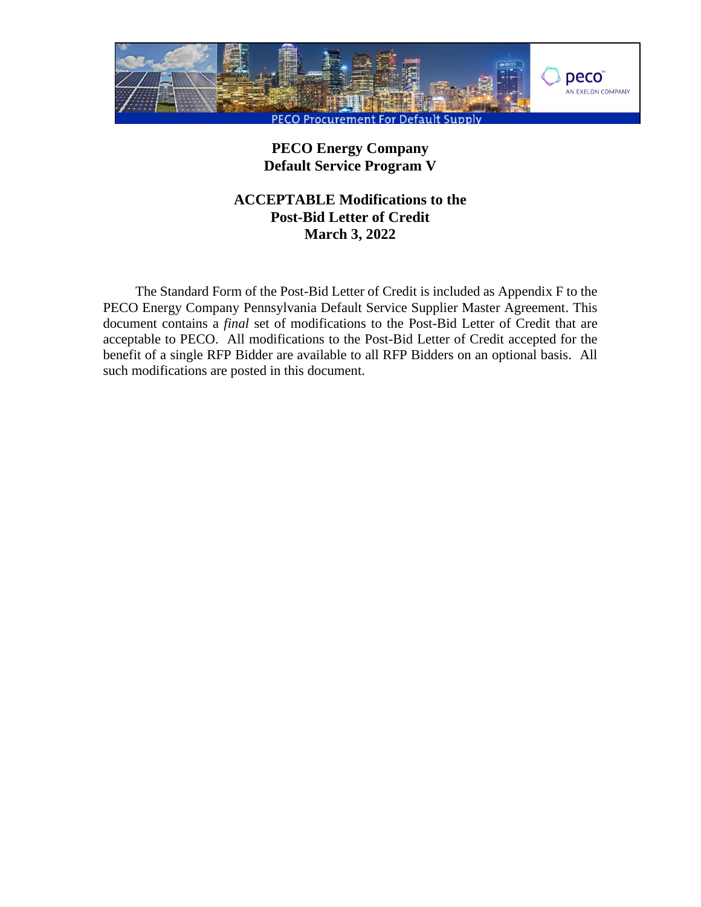

# **PECO Energy Company Default Service Program V**

# **ACCEPTABLE Modifications to the Post-Bid Letter of Credit March 3, 2022**

The Standard Form of the Post-Bid Letter of Credit is included as Appendix F to the PECO Energy Company Pennsylvania Default Service Supplier Master Agreement. This document contains a *final* set of modifications to the Post-Bid Letter of Credit that are acceptable to PECO. All modifications to the Post-Bid Letter of Credit accepted for the benefit of a single RFP Bidder are available to all RFP Bidders on an optional basis. All such modifications are posted in this document.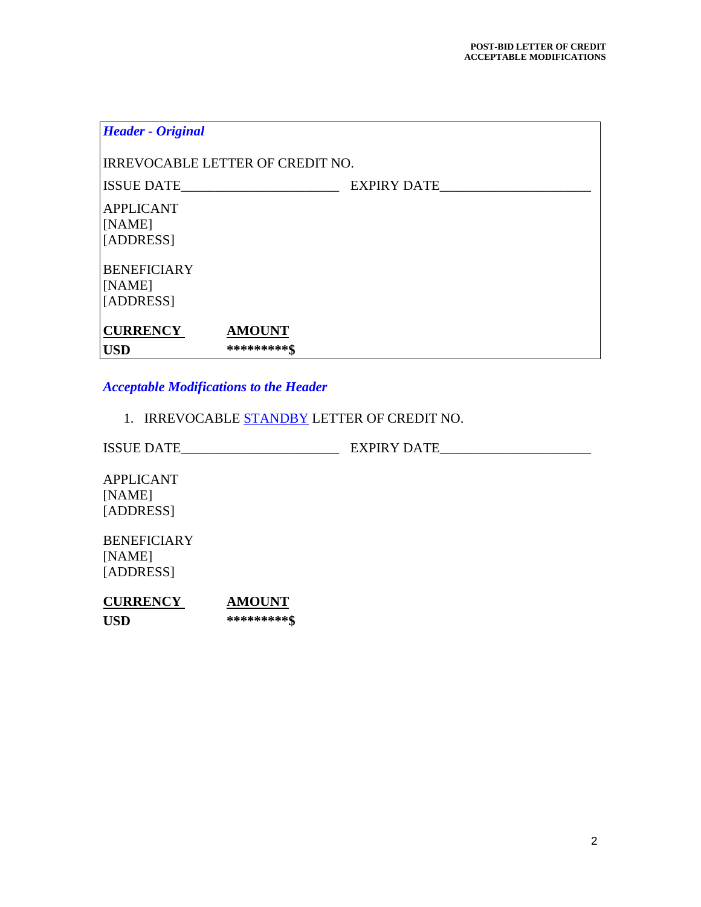| <b>Header - Original</b>                  |                              |  |
|-------------------------------------------|------------------------------|--|
| IRREVOCABLE LETTER OF CREDIT NO.          |                              |  |
| ISSUE DATE                                | EXPIRY DATE                  |  |
| <b>APPLICANT</b><br>[NAME]<br>[ADDRESS]   |                              |  |
| <b>BENEFICIARY</b><br>[NAME]<br>[ADDRESS] |                              |  |
| <b>CURRENCY</b><br><b>USD</b>             | <b>AMOUNT</b><br>*********\$ |  |

# *Acceptable Modifications to the Header*

1. IRREVOCABLE **STANDBY** LETTER OF CREDIT NO.

ISSUE DATE\_\_\_\_\_\_\_\_\_\_\_\_\_\_\_\_\_\_\_\_\_\_\_ EXPIRY DATE\_\_\_\_\_\_\_\_\_\_\_\_\_\_\_\_\_\_\_\_\_\_

APPLICANT [NAME] [ADDRESS]

BENEFICIARY [NAME] [ADDRESS]

| <b>CURRENCY</b> | <b>AMOUNT</b> |
|-----------------|---------------|
| USD.            | *********\$   |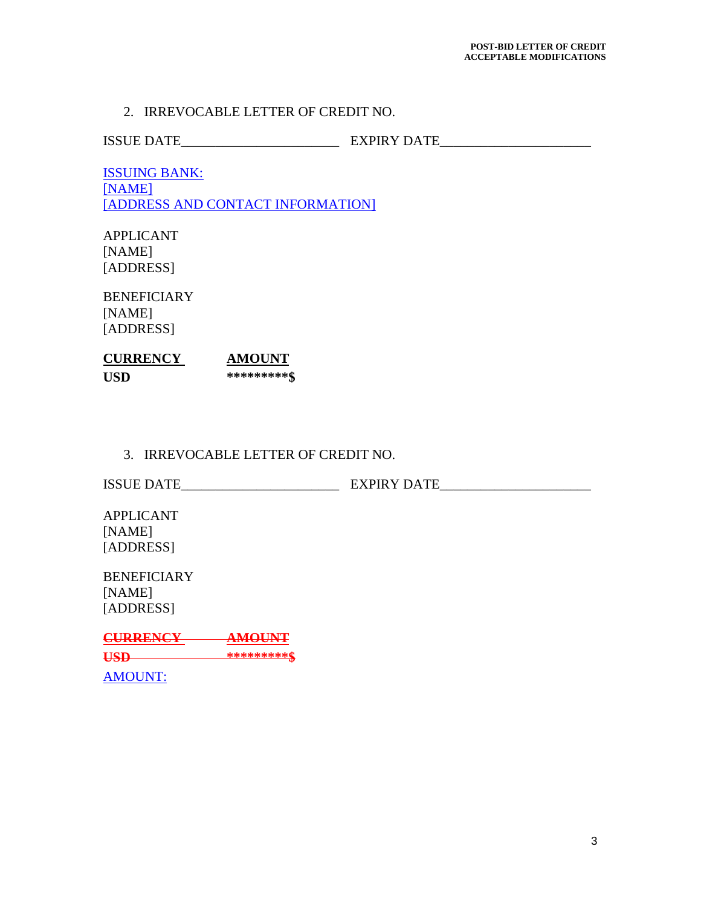#### 2. IRREVOCABLE LETTER OF CREDIT NO.

ISSUE DATE\_\_\_\_\_\_\_\_\_\_\_\_\_\_\_\_\_\_\_\_\_\_\_ EXPIRY DATE\_\_\_\_\_\_\_\_\_\_\_\_\_\_\_\_\_\_\_\_\_\_

ISSUING BANK: [NAME] [ADDRESS AND CONTACT INFORMATION]

APPLICANT [NAME] [ADDRESS]

BENEFICIARY [NAME] [ADDRESS]

| <b>CURRENCY</b> | AMOUNT      |
|-----------------|-------------|
| USD             | *********\$ |

## 3. IRREVOCABLE LETTER OF CREDIT NO.

ISSUE DATE\_\_\_\_\_\_\_\_\_\_\_\_\_\_\_\_\_\_\_\_\_\_\_ EXPIRY DATE\_\_\_\_\_\_\_\_\_\_\_\_\_\_\_\_\_\_\_\_\_\_

APPLICANT [NAME] [ADDRESS]

**BENEFICIARY** [NAME] [ADDRESS]

**CURRENCY AMOUNT USD \*\*\*\*\*\*\*\*\*\$** AMOUNT: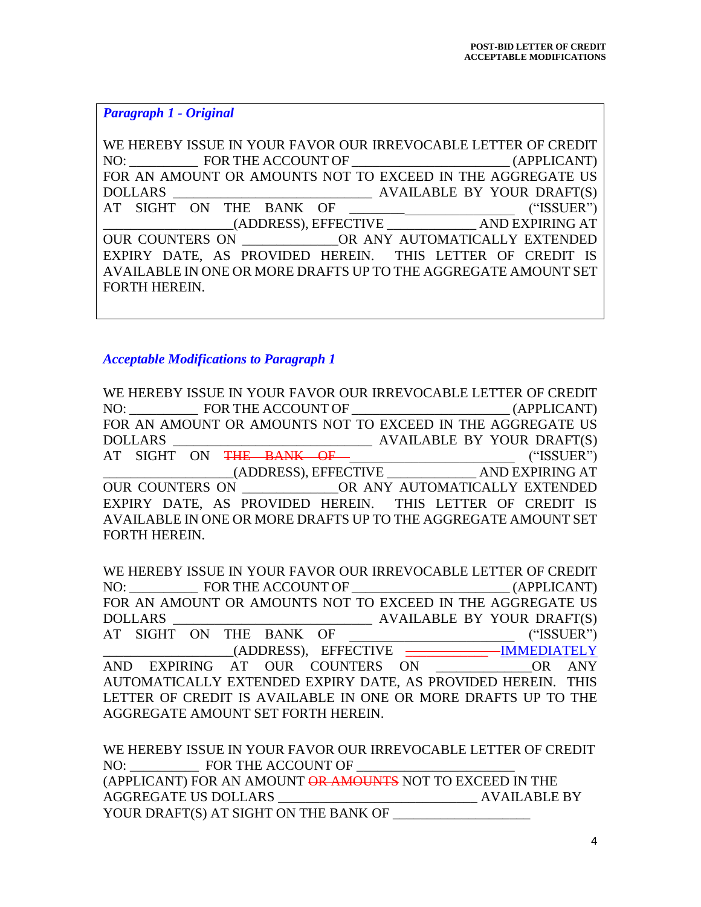*Paragraph 1 - Original*

WE HEREBY ISSUE IN YOUR FAVOR OUR IRREVOCABLE LETTER OF CREDIT NO: FOR THE ACCOUNT OF THE ACCOUNT OF THE ACCOUNT OF FOR AN AMOUNT OR AMOUNTS NOT TO EXCEED IN THE AGGREGATE US DOLLARS \_\_\_\_\_\_\_\_\_\_\_\_\_\_\_\_\_\_\_\_\_\_\_\_\_\_\_\_\_ AVAILABLE BY YOUR DRAFT(S) AT SIGHT ON THE BANK OF THE CONSTRUCT ("ISSUER") \_\_\_\_\_\_\_\_\_\_\_\_\_\_\_\_\_\_\_(ADDRESS), EFFECTIVE \_\_\_\_\_\_\_\_\_\_\_\_\_ AND EXPIRING AT OUR COUNTERS ON \_\_\_\_\_\_\_\_\_\_\_\_OR ANY AUTOMATICALLY EXTENDED EXPIRY DATE, AS PROVIDED HEREIN. THIS LETTER OF CREDIT IS AVAILABLE IN ONE OR MORE DRAFTS UP TO THE AGGREGATE AMOUNT SET FORTH HEREIN.

*Acceptable Modifications to Paragraph 1*

WE HEREBY ISSUE IN YOUR FAVOR OUR IRREVOCABLE LETTER OF CREDIT NO: \_\_\_\_\_\_\_\_\_\_ FOR THE ACCOUNT OF \_\_\_\_\_\_\_\_\_\_\_\_\_\_\_\_\_\_\_\_\_\_\_ (APPLICANT) FOR AN AMOUNT OR AMOUNTS NOT TO EXCEED IN THE AGGREGATE US DOLLARS \_\_\_\_\_\_\_\_\_\_\_\_\_\_\_\_\_\_\_\_\_\_\_\_\_\_\_\_\_ AVAILABLE BY YOUR DRAFT(S) AT SIGHT ON <del>THE BANK OF \_</del> \_ \_ \_ \_ \_ \_ \_ ("ISSUER") \_\_\_\_\_\_\_\_\_\_\_\_\_\_\_\_\_\_\_(ADDRESS), EFFECTIVE \_\_\_\_\_\_\_\_\_\_\_\_\_ AND EXPIRING AT OUR COUNTERS ON GRANY AUTOMATICALLY EXTENDED EXPIRY DATE, AS PROVIDED HEREIN. THIS LETTER OF CREDIT IS AVAILABLE IN ONE OR MORE DRAFTS UP TO THE AGGREGATE AMOUNT SET FORTH HEREIN.

WE HEREBY ISSUE IN YOUR FAVOR OUR IRREVOCABLE LETTER OF CREDIT NO: FOR THE ACCOUNT OF  $(APPLICANT)$ FOR AN AMOUNT OR AMOUNTS NOT TO EXCEED IN THE AGGREGATE US DOLLARS \_\_\_\_\_\_\_\_\_\_\_\_\_\_\_\_\_\_\_\_\_\_\_\_\_\_\_\_\_ AVAILABLE BY YOUR DRAFT(S) AT SIGHT ON THE BANK OF ("ISSUER") \_\_\_\_\_\_\_\_\_\_\_\_\_\_\_\_\_\_\_(ADDRESS), EFFECTIVE \_\_\_\_\_\_\_\_\_\_\_\_ IMMEDIATELY AND EXPIRING AT OUR COUNTERS ON THE OR ANY AUTOMATICALLY EXTENDED EXPIRY DATE, AS PROVIDED HEREIN. THIS LETTER OF CREDIT IS AVAILABLE IN ONE OR MORE DRAFTS UP TO THE AGGREGATE AMOUNT SET FORTH HEREIN.

WE HEREBY ISSUE IN YOUR FAVOR OUR IRREVOCABLE LETTER OF CREDIT NO: FOR THE ACCOUNT OF (APPLICANT) FOR AN AMOUNT OR AMOUNTS NOT TO EXCEED IN THE AGGREGATE US DOLLARS AVAILABLE BY YOUR DRAFT(S) AT SIGHT ON THE BANK OF \_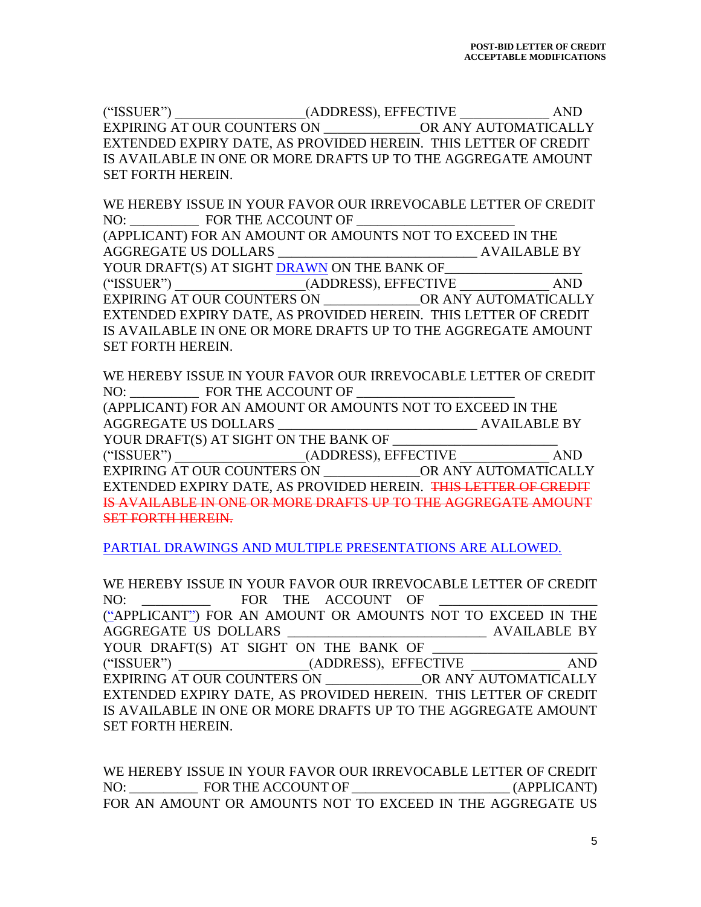("ISSUER")  $(ADDRESS), EFFECTIVE$  AND EXPIRING AT OUR COUNTERS ON GRANY AUTOMATICALLY EXTENDED EXPIRY DATE, AS PROVIDED HEREIN. THIS LETTER OF CREDIT IS AVAILABLE IN ONE OR MORE DRAFTS UP TO THE AGGREGATE AMOUNT SET FORTH HEREIN.

WE HEREBY ISSUE IN YOUR FAVOR OUR IRREVOCABLE LETTER OF CREDIT NO: FOR THE ACCOUNT OF

(APPLICANT) FOR AN AMOUNT OR AMOUNTS NOT TO EXCEED IN THE AGGREGATE US DOLLARS \_\_\_\_\_\_\_\_\_\_\_\_\_\_\_\_\_\_\_\_\_\_\_\_\_\_\_\_\_ AVAILABLE BY

YOUR DRAFT(S) AT SIGHT DRAWN ON THE BANK OF ("ISSUER")  $(ADDRESS)$ , EFFECTIVE AND EXPIRING AT OUR COUNTERS ON \_\_\_\_\_\_\_\_\_\_\_\_\_\_OR ANY AUTOMATICALLY EXTENDED EXPIRY DATE, AS PROVIDED HEREIN. THIS LETTER OF CREDIT IS AVAILABLE IN ONE OR MORE DRAFTS UP TO THE AGGREGATE AMOUNT SET FORTH HEREIN.

WE HEREBY ISSUE IN YOUR FAVOR OUR IRREVOCABLE LETTER OF CREDIT NO: FOR THE ACCOUNT OF

(APPLICANT) FOR AN AMOUNT OR AMOUNTS NOT TO EXCEED IN THE AGGREGATE US DOLLARS AVAILABLE BY

YOUR DRAFT(S) AT SIGHT ON THE BANK OF

("ISSUER")  $\qquad \qquad \text{(ADDRESS)}, \text{EFFECTIVE} \qquad \qquad \text{AND}$ EXPIRING AT OUR COUNTERS ON \_\_\_\_\_\_\_\_\_\_\_\_\_\_OR ANY AUTOMATICALLY EXTENDED EXPIRY DATE, AS PROVIDED HEREIN. THIS LETTER OF CREDIT IS AVAILABLE IN ONE OR MORE DRAFTS UP TO THE AGGREGATE AMOUNT SET FORTH HEREIN.

PARTIAL DRAWINGS AND MULTIPLE PRESENTATIONS ARE ALLOWED.

WE HEREBY ISSUE IN YOUR FAVOR OUR IRREVOCABLE LETTER OF CREDIT NO: FOR THE ACCOUNT OF

("APPLICANT") FOR AN AMOUNT OR AMOUNTS NOT TO EXCEED IN THE AGGREGATE US DOLLARS \_\_\_\_\_\_\_\_\_\_\_\_\_\_\_\_\_\_\_\_\_\_\_\_\_\_\_\_\_ AVAILABLE BY

YOUR DRAFT(S) AT SIGHT ON THE BANK OF ("ISSUER")  $(ADDRESS)$ , EFFECTIVE  $AND$ EXPIRING AT OUR COUNTERS ON GRANY AUTOMATICALLY EXTENDED EXPIRY DATE, AS PROVIDED HEREIN. THIS LETTER OF CREDIT IS AVAILABLE IN ONE OR MORE DRAFTS UP TO THE AGGREGATE AMOUNT SET FORTH HEREIN.

WE HEREBY ISSUE IN YOUR FAVOR OUR IRREVOCABLE LETTER OF CREDIT NO: FOR THE ACCOUNT OF  $\qquad \qquad$  (APPLICANT) FOR AN AMOUNT OR AMOUNTS NOT TO EXCEED IN THE AGGREGATE US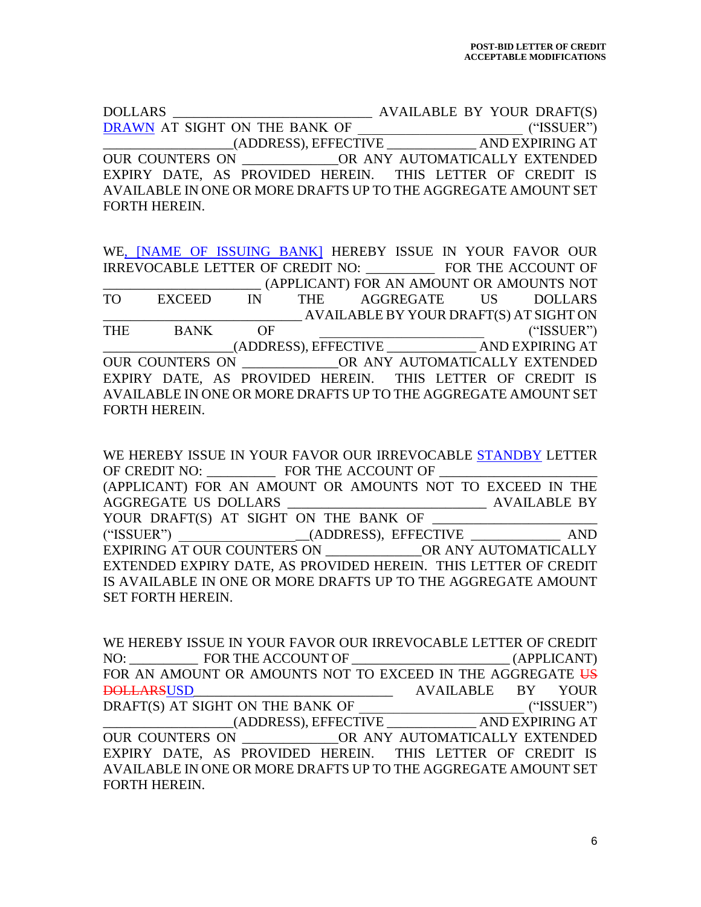DOLLARS \_\_\_\_\_\_\_\_\_\_\_\_\_\_\_\_\_\_\_\_\_\_\_\_\_\_\_\_\_ AVAILABLE BY YOUR DRAFT(S) DRAWN AT SIGHT ON THE BANK OF \_\_\_\_\_\_\_\_\_\_\_\_\_\_\_\_\_\_\_\_\_\_\_\_ ("ISSUER") \_\_\_\_\_\_\_\_\_\_\_\_\_\_\_\_\_\_\_(ADDRESS), EFFECTIVE \_\_\_\_\_\_\_\_\_\_\_\_\_ AND EXPIRING AT OUR COUNTERS ON **OR ANY AUTOMATICALLY EXTENDED** EXPIRY DATE, AS PROVIDED HEREIN. THIS LETTER OF CREDIT IS AVAILABLE IN ONE OR MORE DRAFTS UP TO THE AGGREGATE AMOUNT SET FORTH HEREIN.

WE, [NAME OF ISSUING BANK] HEREBY ISSUE IN YOUR FAVOR OUR IRREVOCABLE LETTER OF CREDIT NO: \_\_\_\_\_\_\_\_\_\_ FOR THE ACCOUNT OF \_\_\_\_\_\_\_\_\_\_\_\_\_\_\_\_\_\_\_\_\_\_\_ (APPLICANT) FOR AN AMOUNT OR AMOUNTS NOT TO EXCEED IN THE AGGREGATE US DOLLARS \_\_\_\_\_\_\_\_\_\_\_\_\_\_\_\_\_\_\_\_\_\_\_\_\_\_\_\_\_ AVAILABLE BY YOUR DRAFT(S) AT SIGHT ON THE BANK OF ("ISSUER") \_\_\_\_\_\_\_\_\_\_\_\_\_\_\_\_\_\_\_(ADDRESS), EFFECTIVE \_\_\_\_\_\_\_\_\_\_\_\_\_ AND EXPIRING AT OUR COUNTERS ON \_\_\_\_\_\_\_\_\_\_\_\_\_\_OR ANY AUTOMATICALLY EXTENDED EXPIRY DATE, AS PROVIDED HEREIN. THIS LETTER OF CREDIT IS AVAILABLE IN ONE OR MORE DRAFTS UP TO THE AGGREGATE AMOUNT SET FORTH HEREIN.

WE HEREBY ISSUE IN YOUR FAVOR OUR IRREVOCABLE STANDBY LETTER OF CREDIT NO: FOR THE ACCOUNT OF (APPLICANT) FOR AN AMOUNT OR AMOUNTS NOT TO EXCEED IN THE AGGREGATE US DOLLARS \_\_\_\_\_\_\_\_\_\_\_\_\_\_\_\_\_\_\_\_\_\_\_\_\_\_\_\_\_ AVAILABLE BY YOUR DRAFT(S) AT SIGHT ON THE BANK OF ("ISSUER") \_\_\_\_\_\_\_\_\_\_\_\_\_\_\_\_\_\_\_(ADDRESS), EFFECTIVE \_\_\_\_\_\_\_\_\_\_\_\_\_ AND EXPIRING AT OUR COUNTERS ON  $OR$  ANY AUTOMATICALLY EXTENDED EXPIRY DATE, AS PROVIDED HEREIN. THIS LETTER OF CREDIT IS AVAILABLE IN ONE OR MORE DRAFTS UP TO THE AGGREGATE AMOUNT SET FORTH HEREIN.

WE HEREBY ISSUE IN YOUR FAVOR OUR IRREVOCABLE LETTER OF CREDIT NO: FOR THE ACCOUNT OF  $(APPLICANT)$ FOR AN AMOUNT OR AMOUNTS NOT TO EXCEED IN THE AGGREGATE US DOLLARSUSD\_\_\_\_\_\_\_\_\_\_\_\_\_\_\_\_\_\_\_\_\_\_\_\_\_\_\_\_\_ AVAILABLE BY YOUR DRAFT(S) AT SIGHT ON THE BANK OF  $($ "ISSUER") \_\_\_\_\_\_\_\_\_\_\_\_\_\_\_\_\_\_\_(ADDRESS), EFFECTIVE \_\_\_\_\_\_\_\_\_\_\_\_\_ AND EXPIRING AT OUR COUNTERS ON **OR ANY AUTOMATICALLY EXTENDED** EXPIRY DATE, AS PROVIDED HEREIN. THIS LETTER OF CREDIT IS AVAILABLE IN ONE OR MORE DRAFTS UP TO THE AGGREGATE AMOUNT SET FORTH HEREIN.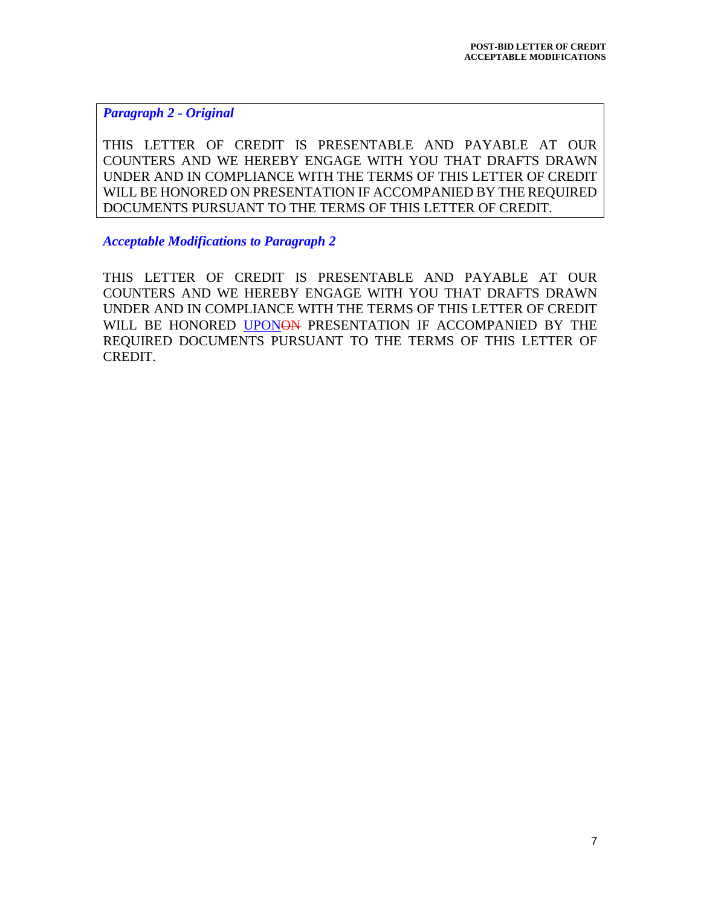*Paragraph 2 - Original*

THIS LETTER OF CREDIT IS PRESENTABLE AND PAYABLE AT OUR COUNTERS AND WE HEREBY ENGAGE WITH YOU THAT DRAFTS DRAWN UNDER AND IN COMPLIANCE WITH THE TERMS OF THIS LETTER OF CREDIT WILL BE HONORED ON PRESENTATION IF ACCOMPANIED BY THE REQUIRED DOCUMENTS PURSUANT TO THE TERMS OF THIS LETTER OF CREDIT.

*Acceptable Modifications to Paragraph 2*

THIS LETTER OF CREDIT IS PRESENTABLE AND PAYABLE AT OUR COUNTERS AND WE HEREBY ENGAGE WITH YOU THAT DRAFTS DRAWN UNDER AND IN COMPLIANCE WITH THE TERMS OF THIS LETTER OF CREDIT WILL BE HONORED UPONON PRESENTATION IF ACCOMPANIED BY THE REQUIRED DOCUMENTS PURSUANT TO THE TERMS OF THIS LETTER OF CREDIT.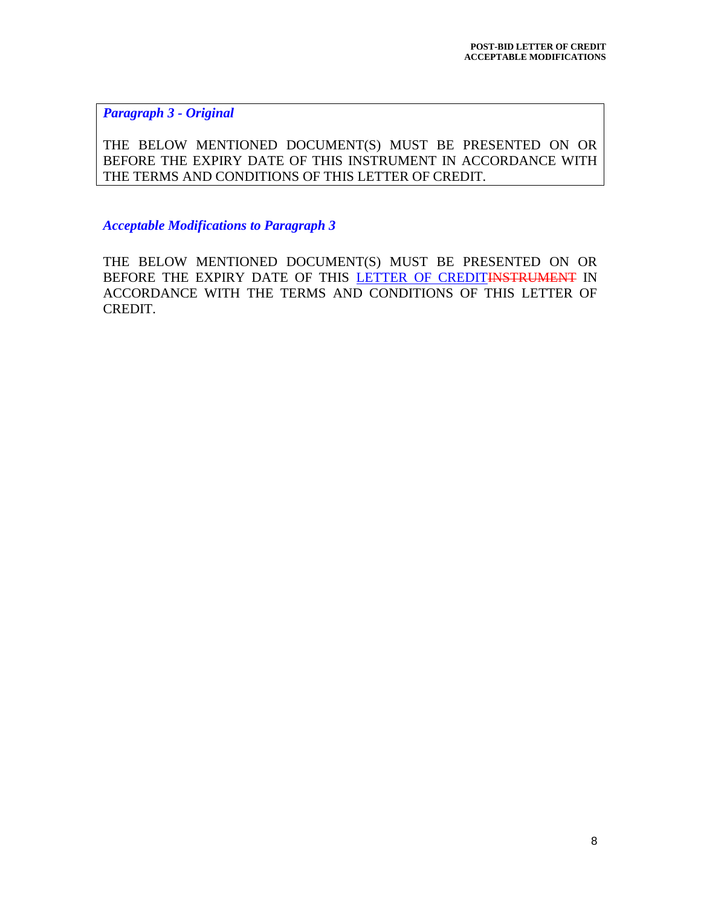*Paragraph 3 - Original*

THE BELOW MENTIONED DOCUMENT(S) MUST BE PRESENTED ON OR BEFORE THE EXPIRY DATE OF THIS INSTRUMENT IN ACCORDANCE WITH THE TERMS AND CONDITIONS OF THIS LETTER OF CREDIT.

*Acceptable Modifications to Paragraph 3*

THE BELOW MENTIONED DOCUMENT(S) MUST BE PRESENTED ON OR BEFORE THE EXPIRY DATE OF THIS LETTER OF CREDITINSTRUMENT IN ACCORDANCE WITH THE TERMS AND CONDITIONS OF THIS LETTER OF CREDIT.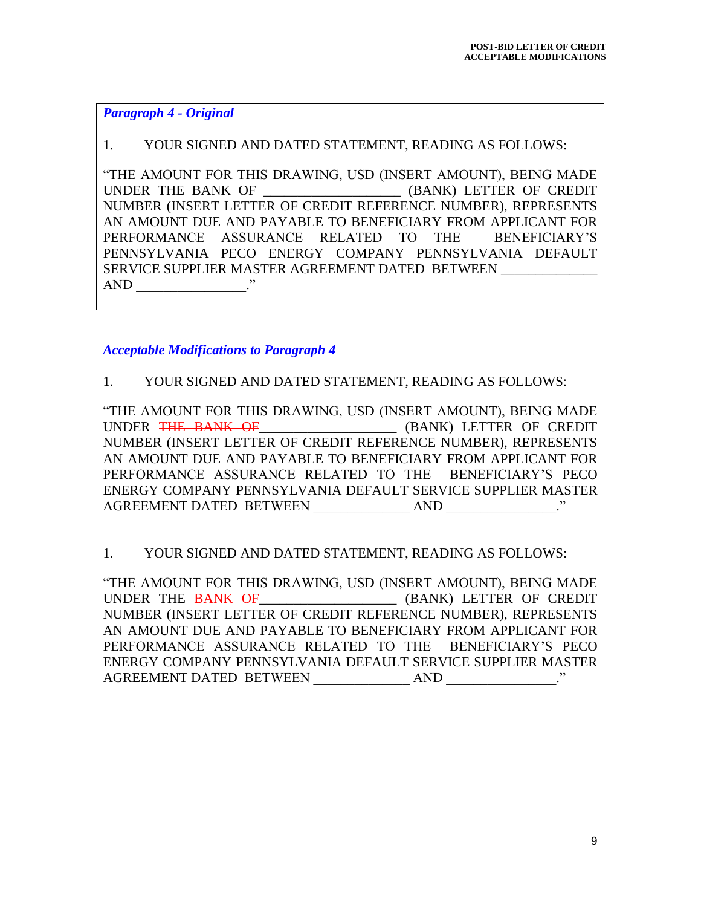*Paragraph 4 - Original*

## 1. YOUR SIGNED AND DATED STATEMENT, READING AS FOLLOWS:

"THE AMOUNT FOR THIS DRAWING, USD (INSERT AMOUNT), BEING MADE UNDER THE BANK OF \_\_\_\_\_\_\_\_\_\_\_\_\_\_\_\_\_\_\_\_ (BANK) LETTER OF CREDIT NUMBER (INSERT LETTER OF CREDIT REFERENCE NUMBER), REPRESENTS AN AMOUNT DUE AND PAYABLE TO BENEFICIARY FROM APPLICANT FOR PERFORMANCE ASSURANCE RELATED TO THE BENEFICIARY'S PENNSYLVANIA PECO ENERGY COMPANY PENNSYLVANIA DEFAULT SERVICE SUPPLIER MASTER AGREEMENT DATED BETWEEN \_\_\_\_\_\_\_\_\_\_\_\_\_\_ AND  $\cdots$ 

## *Acceptable Modifications to Paragraph 4*

## 1. YOUR SIGNED AND DATED STATEMENT, READING AS FOLLOWS:

"THE AMOUNT FOR THIS DRAWING, USD (INSERT AMOUNT), BEING MADE UNDER THE BANK OF \_\_\_\_\_\_\_\_\_\_\_\_\_\_\_\_ (BANK) LETTER OF CREDIT NUMBER (INSERT LETTER OF CREDIT REFERENCE NUMBER), REPRESENTS AN AMOUNT DUE AND PAYABLE TO BENEFICIARY FROM APPLICANT FOR PERFORMANCE ASSURANCE RELATED TO THE BENEFICIARY'S PECO ENERGY COMPANY PENNSYLVANIA DEFAULT SERVICE SUPPLIER MASTER AGREEMENT DATED BETWEEN AND NORTH AND THE SET OF AND

## 1. YOUR SIGNED AND DATED STATEMENT, READING AS FOLLOWS:

"THE AMOUNT FOR THIS DRAWING, USD (INSERT AMOUNT), BEING MADE UNDER THE BANK OF\_\_\_\_\_\_\_\_\_\_\_\_\_\_\_\_\_\_\_\_\_\_\_ (BANK) LETTER OF CREDIT NUMBER (INSERT LETTER OF CREDIT REFERENCE NUMBER), REPRESENTS AN AMOUNT DUE AND PAYABLE TO BENEFICIARY FROM APPLICANT FOR PERFORMANCE ASSURANCE RELATED TO THE BENEFICIARY'S PECO ENERGY COMPANY PENNSYLVANIA DEFAULT SERVICE SUPPLIER MASTER AGREEMENT DATED BETWEEN AND ."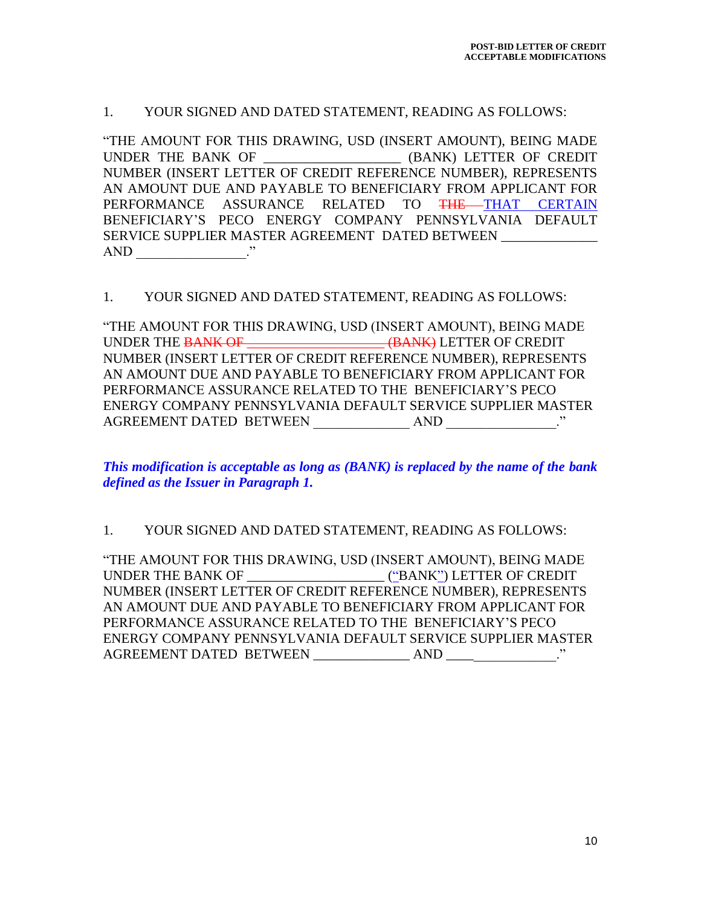#### 1. YOUR SIGNED AND DATED STATEMENT, READING AS FOLLOWS:

"THE AMOUNT FOR THIS DRAWING, USD (INSERT AMOUNT), BEING MADE UNDER THE BANK OF **EXAMPLE (BANK) LETTER OF CREDIT** NUMBER (INSERT LETTER OF CREDIT REFERENCE NUMBER), REPRESENTS AN AMOUNT DUE AND PAYABLE TO BENEFICIARY FROM APPLICANT FOR PERFORMANCE ASSURANCE RELATED TO <del>THE T</del>HAT CERTAIN BENEFICIARY'S PECO ENERGY COMPANY PENNSYLVANIA DEFAULT SERVICE SUPPLIER MASTER AGREEMENT DATED BETWEEN AND \_\_\_\_\_\_\_\_\_\_\_\_\_\_\_\_."

#### 1. YOUR SIGNED AND DATED STATEMENT, READING AS FOLLOWS:

"THE AMOUNT FOR THIS DRAWING, USD (INSERT AMOUNT), BEING MADE UNDER THE BANK OF \_\_\_\_\_\_\_\_\_\_\_\_\_\_\_\_\_\_\_\_ (BANK) LETTER OF CREDIT NUMBER (INSERT LETTER OF CREDIT REFERENCE NUMBER), REPRESENTS AN AMOUNT DUE AND PAYABLE TO BENEFICIARY FROM APPLICANT FOR PERFORMANCE ASSURANCE RELATED TO THE BENEFICIARY'S PECO ENERGY COMPANY PENNSYLVANIA DEFAULT SERVICE SUPPLIER MASTER AGREEMENT DATED BETWEEN AND ."

*This modification is acceptable as long as (BANK) is replaced by the name of the bank defined as the Issuer in Paragraph 1.*

#### 1. YOUR SIGNED AND DATED STATEMENT, READING AS FOLLOWS:

"THE AMOUNT FOR THIS DRAWING, USD (INSERT AMOUNT), BEING MADE UNDER THE BANK OF \_\_\_\_\_\_\_\_\_\_\_\_\_\_\_\_\_\_\_\_ ("BANK") LETTER OF CREDIT NUMBER (INSERT LETTER OF CREDIT REFERENCE NUMBER), REPRESENTS AN AMOUNT DUE AND PAYABLE TO BENEFICIARY FROM APPLICANT FOR PERFORMANCE ASSURANCE RELATED TO THE BENEFICIARY'S PECO ENERGY COMPANY PENNSYLVANIA DEFAULT SERVICE SUPPLIER MASTER AGREEMENT DATED BETWEEN \_\_\_\_\_\_\_\_\_\_\_\_\_\_ AND \_\_\_\_\_\_\_\_\_\_\_\_\_\_\_\_."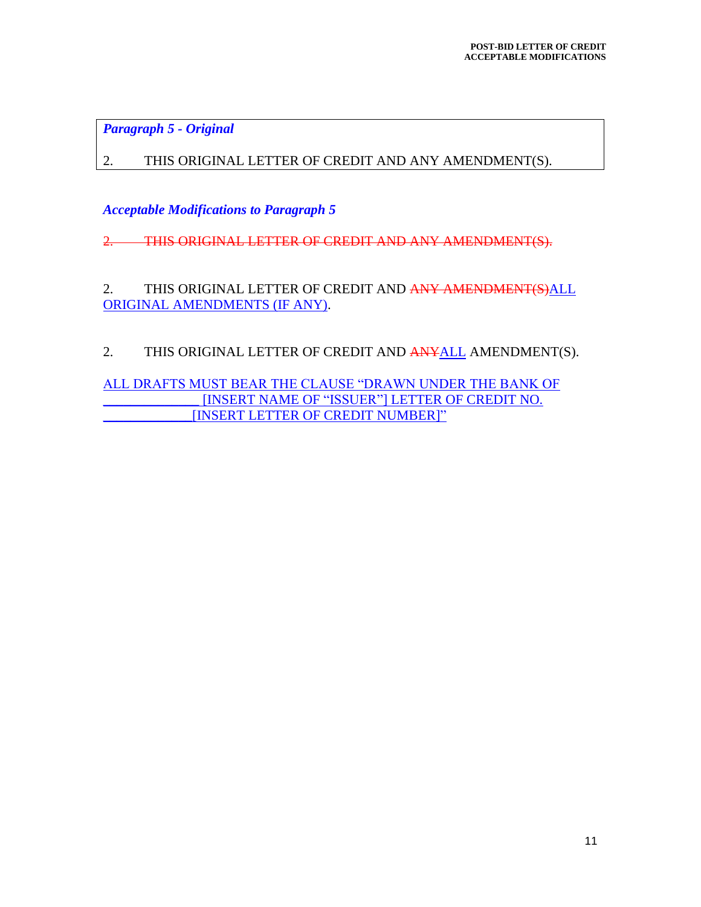*Paragraph 5 - Original*

2. THIS ORIGINAL LETTER OF CREDIT AND ANY AMENDMENT(S).

*Acceptable Modifications to Paragraph 5*

2. THIS ORIGINAL LETTER OF CREDIT AND ANY AMENDMENT(S).

2. THIS ORIGINAL LETTER OF CREDIT AND ANY AMENDMENT(S)ALL ORIGINAL AMENDMENTS (IF ANY).

2. THIS ORIGINAL LETTER OF CREDIT AND ANYALL AMENDMENT(S).

ALL DRAFTS MUST BEAR THE CLAUSE "DRAWN UNDER THE BANK OF \_\_\_\_\_\_\_\_\_\_\_\_\_\_ [INSERT NAME OF "ISSUER"] LETTER OF CREDIT NO. \_\_\_\_\_\_\_\_\_\_\_\_\_[INSERT LETTER OF CREDIT NUMBER]"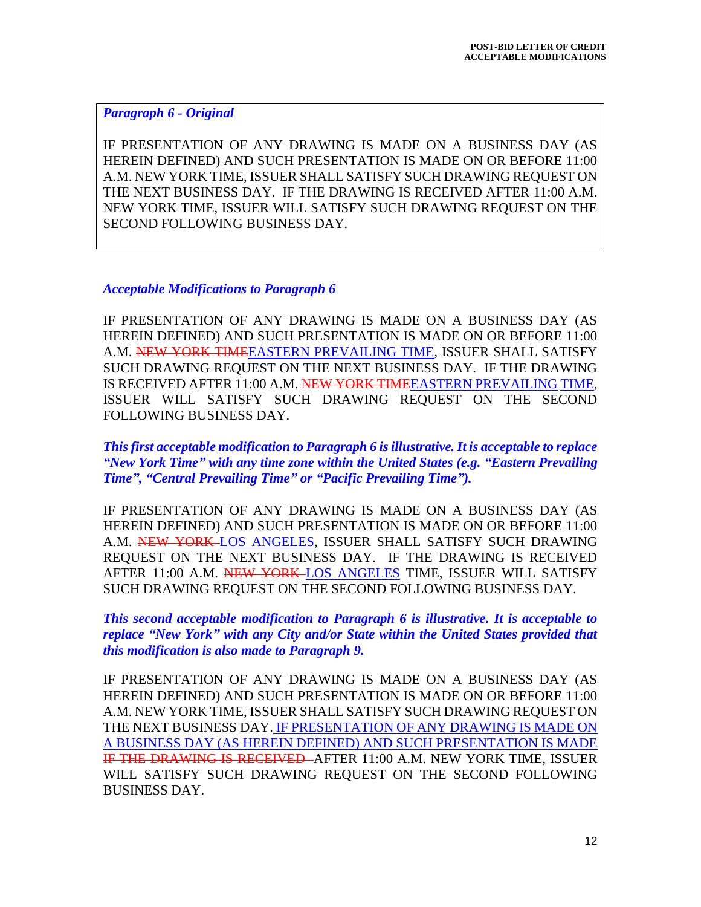#### *Paragraph 6 - Original*

IF PRESENTATION OF ANY DRAWING IS MADE ON A BUSINESS DAY (AS HEREIN DEFINED) AND SUCH PRESENTATION IS MADE ON OR BEFORE 11:00 A.M. NEW YORK TIME, ISSUER SHALL SATISFY SUCH DRAWING REQUEST ON THE NEXT BUSINESS DAY. IF THE DRAWING IS RECEIVED AFTER 11:00 A.M. NEW YORK TIME, ISSUER WILL SATISFY SUCH DRAWING REQUEST ON THE SECOND FOLLOWING BUSINESS DAY.

#### *Acceptable Modifications to Paragraph 6*

IF PRESENTATION OF ANY DRAWING IS MADE ON A BUSINESS DAY (AS HEREIN DEFINED) AND SUCH PRESENTATION IS MADE ON OR BEFORE 11:00 A.M. NEW YORK TIMEEASTERN PREVAILING TIME, ISSUER SHALL SATISFY SUCH DRAWING REQUEST ON THE NEXT BUSINESS DAY. IF THE DRAWING IS RECEIVED AFTER 11:00 A.M. NEW YORK TIMEEASTERN PREVAILING TIME, ISSUER WILL SATISFY SUCH DRAWING REQUEST ON THE SECOND FOLLOWING BUSINESS DAY.

*This first acceptable modification to Paragraph 6 is illustrative. It is acceptable to replace "New York Time" with any time zone within the United States (e.g. "Eastern Prevailing Time", "Central Prevailing Time" or "Pacific Prevailing Time").*

IF PRESENTATION OF ANY DRAWING IS MADE ON A BUSINESS DAY (AS HEREIN DEFINED) AND SUCH PRESENTATION IS MADE ON OR BEFORE 11:00 A.M. NEW YORK-LOS ANGELES, ISSUER SHALL SATISFY SUCH DRAWING REQUEST ON THE NEXT BUSINESS DAY. IF THE DRAWING IS RECEIVED AFTER 11:00 A.M. NEW YORK LOS ANGELES TIME, ISSUER WILL SATISFY SUCH DRAWING REQUEST ON THE SECOND FOLLOWING BUSINESS DAY.

*This second acceptable modification to Paragraph 6 is illustrative. It is acceptable to replace "New York" with any City and/or State within the United States provided that this modification is also made to Paragraph 9.*

IF PRESENTATION OF ANY DRAWING IS MADE ON A BUSINESS DAY (AS HEREIN DEFINED) AND SUCH PRESENTATION IS MADE ON OR BEFORE 11:00 A.M. NEW YORK TIME, ISSUER SHALL SATISFY SUCH DRAWING REQUEST ON THE NEXT BUSINESS DAY. IF PRESENTATION OF ANY DRAWING IS MADE ON A BUSINESS DAY (AS HEREIN DEFINED) AND SUCH PRESENTATION IS MADE IF THE DRAWING IS RECEIVED AFTER 11:00 A.M. NEW YORK TIME, ISSUER WILL SATISFY SUCH DRAWING REQUEST ON THE SECOND FOLLOWING BUSINESS DAY.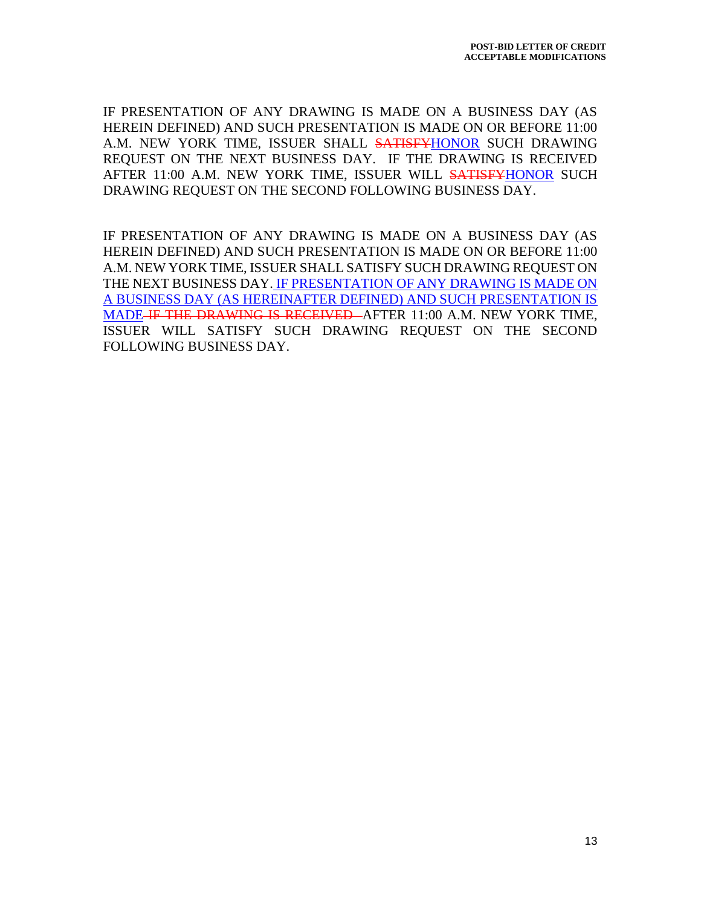IF PRESENTATION OF ANY DRAWING IS MADE ON A BUSINESS DAY (AS HEREIN DEFINED) AND SUCH PRESENTATION IS MADE ON OR BEFORE 11:00 A.M. NEW YORK TIME, ISSUER SHALL SATISFYHONOR SUCH DRAWING REQUEST ON THE NEXT BUSINESS DAY. IF THE DRAWING IS RECEIVED AFTER 11:00 A.M. NEW YORK TIME, ISSUER WILL SATISFYHONOR SUCH DRAWING REQUEST ON THE SECOND FOLLOWING BUSINESS DAY.

IF PRESENTATION OF ANY DRAWING IS MADE ON A BUSINESS DAY (AS HEREIN DEFINED) AND SUCH PRESENTATION IS MADE ON OR BEFORE 11:00 A.M. NEW YORK TIME, ISSUER SHALL SATISFY SUCH DRAWING REQUEST ON THE NEXT BUSINESS DAY. IF PRESENTATION OF ANY DRAWING IS MADE ON A BUSINESS DAY (AS HEREINAFTER DEFINED) AND SUCH PRESENTATION IS MADE IF THE DRAWING IS RECEIVED AFTER 11:00 A.M. NEW YORK TIME, ISSUER WILL SATISFY SUCH DRAWING REQUEST ON THE SECOND FOLLOWING BUSINESS DAY.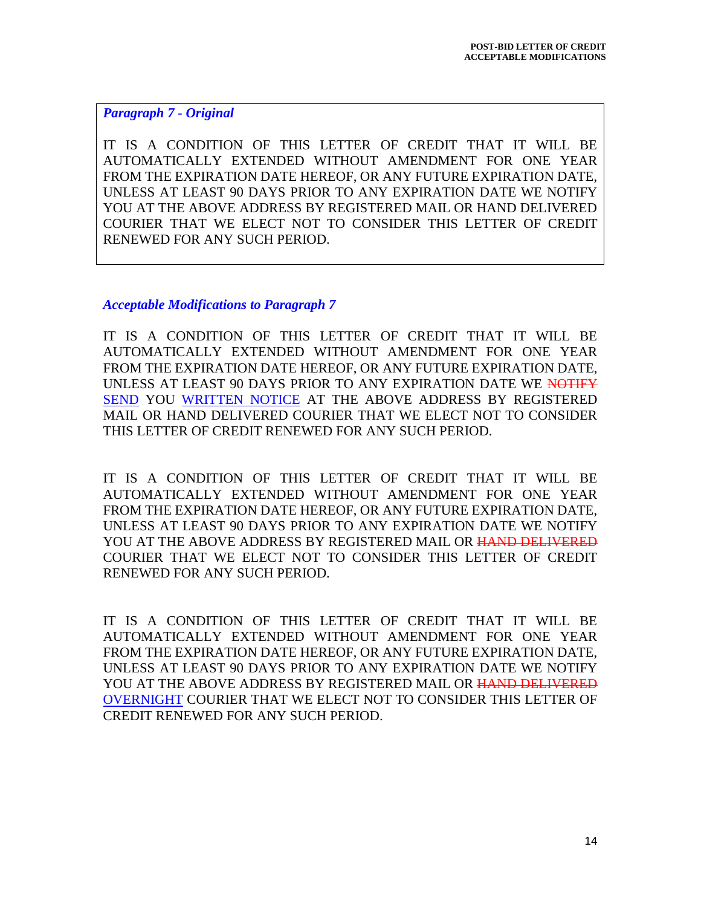*Paragraph 7 - Original*

IT IS A CONDITION OF THIS LETTER OF CREDIT THAT IT WILL BE AUTOMATICALLY EXTENDED WITHOUT AMENDMENT FOR ONE YEAR FROM THE EXPIRATION DATE HEREOF, OR ANY FUTURE EXPIRATION DATE, UNLESS AT LEAST 90 DAYS PRIOR TO ANY EXPIRATION DATE WE NOTIFY YOU AT THE ABOVE ADDRESS BY REGISTERED MAIL OR HAND DELIVERED COURIER THAT WE ELECT NOT TO CONSIDER THIS LETTER OF CREDIT RENEWED FOR ANY SUCH PERIOD.

*Acceptable Modifications to Paragraph 7*

IT IS A CONDITION OF THIS LETTER OF CREDIT THAT IT WILL BE AUTOMATICALLY EXTENDED WITHOUT AMENDMENT FOR ONE YEAR FROM THE EXPIRATION DATE HEREOF, OR ANY FUTURE EXPIRATION DATE, UNLESS AT LEAST 90 DAYS PRIOR TO ANY EXPIRATION DATE WE NOTIFY SEND YOU WRITTEN NOTICE AT THE ABOVE ADDRESS BY REGISTERED MAIL OR HAND DELIVERED COURIER THAT WE ELECT NOT TO CONSIDER THIS LETTER OF CREDIT RENEWED FOR ANY SUCH PERIOD.

IT IS A CONDITION OF THIS LETTER OF CREDIT THAT IT WILL BE AUTOMATICALLY EXTENDED WITHOUT AMENDMENT FOR ONE YEAR FROM THE EXPIRATION DATE HEREOF, OR ANY FUTURE EXPIRATION DATE, UNLESS AT LEAST 90 DAYS PRIOR TO ANY EXPIRATION DATE WE NOTIFY YOU AT THE ABOVE ADDRESS BY REGISTERED MAIL OR HAND DELIVERED COURIER THAT WE ELECT NOT TO CONSIDER THIS LETTER OF CREDIT RENEWED FOR ANY SUCH PERIOD.

IT IS A CONDITION OF THIS LETTER OF CREDIT THAT IT WILL BE AUTOMATICALLY EXTENDED WITHOUT AMENDMENT FOR ONE YEAR FROM THE EXPIRATION DATE HEREOF, OR ANY FUTURE EXPIRATION DATE, UNLESS AT LEAST 90 DAYS PRIOR TO ANY EXPIRATION DATE WE NOTIFY YOU AT THE ABOVE ADDRESS BY REGISTERED MAIL OR HAND DELIVERED OVERNIGHT COURIER THAT WE ELECT NOT TO CONSIDER THIS LETTER OF CREDIT RENEWED FOR ANY SUCH PERIOD.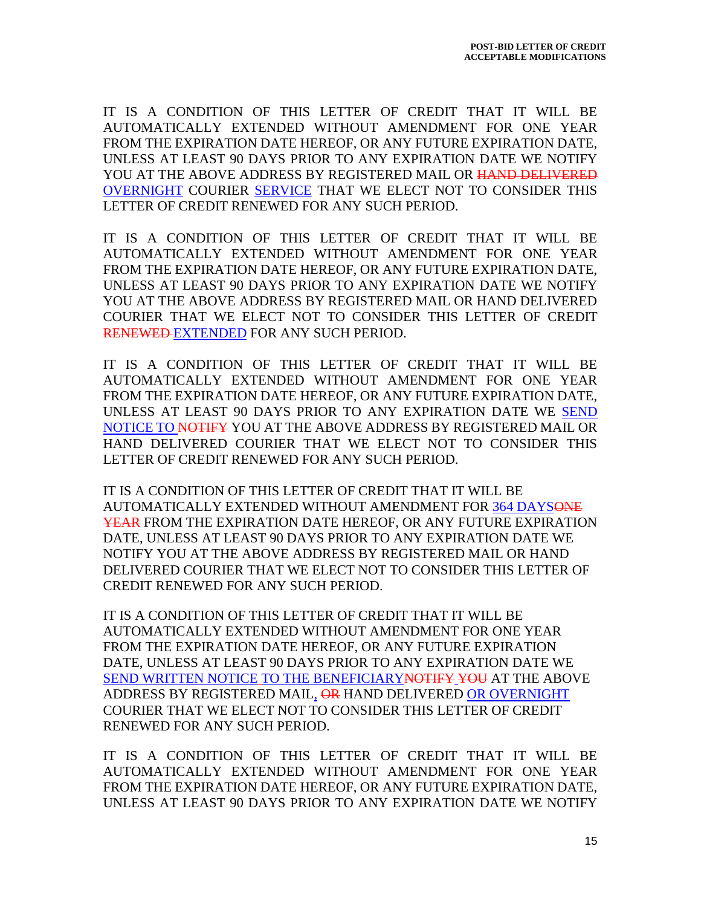IT IS A CONDITION OF THIS LETTER OF CREDIT THAT IT WILL BE AUTOMATICALLY EXTENDED WITHOUT AMENDMENT FOR ONE YEAR FROM THE EXPIRATION DATE HEREOF, OR ANY FUTURE EXPIRATION DATE, UNLESS AT LEAST 90 DAYS PRIOR TO ANY EXPIRATION DATE WE NOTIFY YOU AT THE ABOVE ADDRESS BY REGISTERED MAIL OR HAND DELIVERED OVERNIGHT COURIER SERVICE THAT WE ELECT NOT TO CONSIDER THIS LETTER OF CREDIT RENEWED FOR ANY SUCH PERIOD.

IT IS A CONDITION OF THIS LETTER OF CREDIT THAT IT WILL BE AUTOMATICALLY EXTENDED WITHOUT AMENDMENT FOR ONE YEAR FROM THE EXPIRATION DATE HEREOF, OR ANY FUTURE EXPIRATION DATE, UNLESS AT LEAST 90 DAYS PRIOR TO ANY EXPIRATION DATE WE NOTIFY YOU AT THE ABOVE ADDRESS BY REGISTERED MAIL OR HAND DELIVERED COURIER THAT WE ELECT NOT TO CONSIDER THIS LETTER OF CREDIT RENEWED EXTENDED FOR ANY SUCH PERIOD.

IT IS A CONDITION OF THIS LETTER OF CREDIT THAT IT WILL BE AUTOMATICALLY EXTENDED WITHOUT AMENDMENT FOR ONE YEAR FROM THE EXPIRATION DATE HEREOF, OR ANY FUTURE EXPIRATION DATE, UNLESS AT LEAST 90 DAYS PRIOR TO ANY EXPIRATION DATE WE SEND NOTICE TO NOTIFY YOU AT THE ABOVE ADDRESS BY REGISTERED MAIL OR HAND DELIVERED COURIER THAT WE ELECT NOT TO CONSIDER THIS LETTER OF CREDIT RENEWED FOR ANY SUCH PERIOD.

IT IS A CONDITION OF THIS LETTER OF CREDIT THAT IT WILL BE AUTOMATICALLY EXTENDED WITHOUT AMENDMENT FOR 364 DAYSONE YEAR FROM THE EXPIRATION DATE HEREOF, OR ANY FUTURE EXPIRATION DATE, UNLESS AT LEAST 90 DAYS PRIOR TO ANY EXPIRATION DATE WE NOTIFY YOU AT THE ABOVE ADDRESS BY REGISTERED MAIL OR HAND DELIVERED COURIER THAT WE ELECT NOT TO CONSIDER THIS LETTER OF CREDIT RENEWED FOR ANY SUCH PERIOD.

IT IS A CONDITION OF THIS LETTER OF CREDIT THAT IT WILL BE AUTOMATICALLY EXTENDED WITHOUT AMENDMENT FOR ONE YEAR FROM THE EXPIRATION DATE HEREOF, OR ANY FUTURE EXPIRATION DATE, UNLESS AT LEAST 90 DAYS PRIOR TO ANY EXPIRATION DATE WE SEND WRITTEN NOTICE TO THE BENEFICIARY NOTIFY YOU AT THE ABOVE ADDRESS BY REGISTERED MAIL, OR HAND DELIVERED OR OVERNIGHT COURIER THAT WE ELECT NOT TO CONSIDER THIS LETTER OF CREDIT RENEWED FOR ANY SUCH PERIOD.

IT IS A CONDITION OF THIS LETTER OF CREDIT THAT IT WILL BE AUTOMATICALLY EXTENDED WITHOUT AMENDMENT FOR ONE YEAR FROM THE EXPIRATION DATE HEREOF, OR ANY FUTURE EXPIRATION DATE, UNLESS AT LEAST 90 DAYS PRIOR TO ANY EXPIRATION DATE WE NOTIFY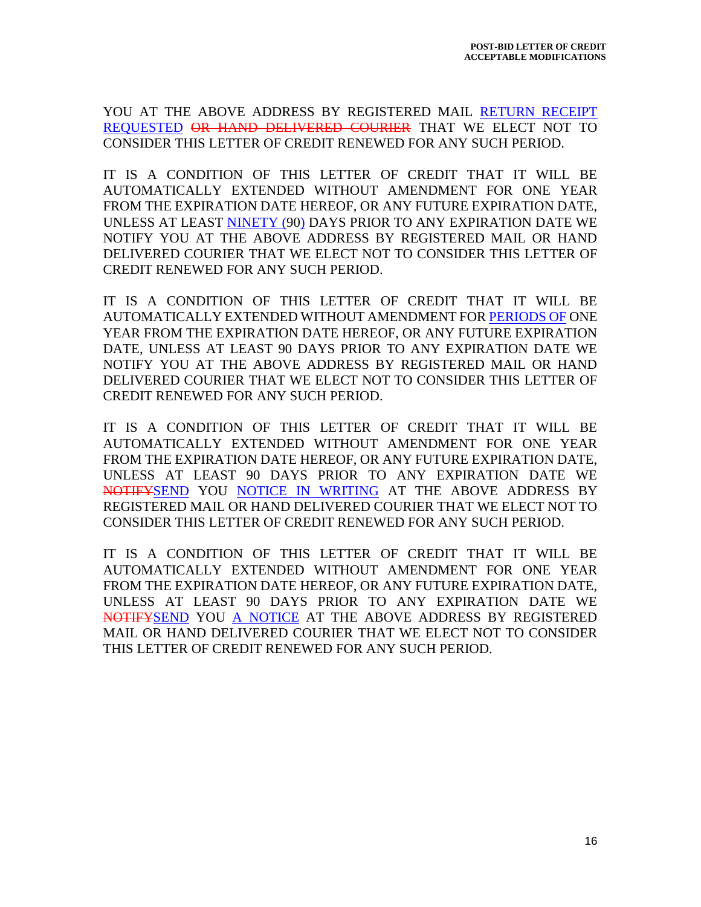YOU AT THE ABOVE ADDRESS BY REGISTERED MAIL RETURN RECEIPT REQUESTED OR HAND DELIVERED COURIER THAT WE ELECT NOT TO CONSIDER THIS LETTER OF CREDIT RENEWED FOR ANY SUCH PERIOD.

IT IS A CONDITION OF THIS LETTER OF CREDIT THAT IT WILL BE AUTOMATICALLY EXTENDED WITHOUT AMENDMENT FOR ONE YEAR FROM THE EXPIRATION DATE HEREOF, OR ANY FUTURE EXPIRATION DATE, UNLESS AT LEAST NINETY (90) DAYS PRIOR TO ANY EXPIRATION DATE WE NOTIFY YOU AT THE ABOVE ADDRESS BY REGISTERED MAIL OR HAND DELIVERED COURIER THAT WE ELECT NOT TO CONSIDER THIS LETTER OF CREDIT RENEWED FOR ANY SUCH PERIOD.

IT IS A CONDITION OF THIS LETTER OF CREDIT THAT IT WILL BE AUTOMATICALLY EXTENDED WITHOUT AMENDMENT FOR PERIODS OF ONE YEAR FROM THE EXPIRATION DATE HEREOF, OR ANY FUTURE EXPIRATION DATE, UNLESS AT LEAST 90 DAYS PRIOR TO ANY EXPIRATION DATE WE NOTIFY YOU AT THE ABOVE ADDRESS BY REGISTERED MAIL OR HAND DELIVERED COURIER THAT WE ELECT NOT TO CONSIDER THIS LETTER OF CREDIT RENEWED FOR ANY SUCH PERIOD.

IT IS A CONDITION OF THIS LETTER OF CREDIT THAT IT WILL BE AUTOMATICALLY EXTENDED WITHOUT AMENDMENT FOR ONE YEAR FROM THE EXPIRATION DATE HEREOF, OR ANY FUTURE EXPIRATION DATE, UNLESS AT LEAST 90 DAYS PRIOR TO ANY EXPIRATION DATE WE NOTIFYSEND YOU NOTICE IN WRITING AT THE ABOVE ADDRESS BY REGISTERED MAIL OR HAND DELIVERED COURIER THAT WE ELECT NOT TO CONSIDER THIS LETTER OF CREDIT RENEWED FOR ANY SUCH PERIOD.

IT IS A CONDITION OF THIS LETTER OF CREDIT THAT IT WILL BE AUTOMATICALLY EXTENDED WITHOUT AMENDMENT FOR ONE YEAR FROM THE EXPIRATION DATE HEREOF, OR ANY FUTURE EXPIRATION DATE, UNLESS AT LEAST 90 DAYS PRIOR TO ANY EXPIRATION DATE WE NOTIFYSEND YOU A NOTICE AT THE ABOVE ADDRESS BY REGISTERED MAIL OR HAND DELIVERED COURIER THAT WE ELECT NOT TO CONSIDER THIS LETTER OF CREDIT RENEWED FOR ANY SUCH PERIOD.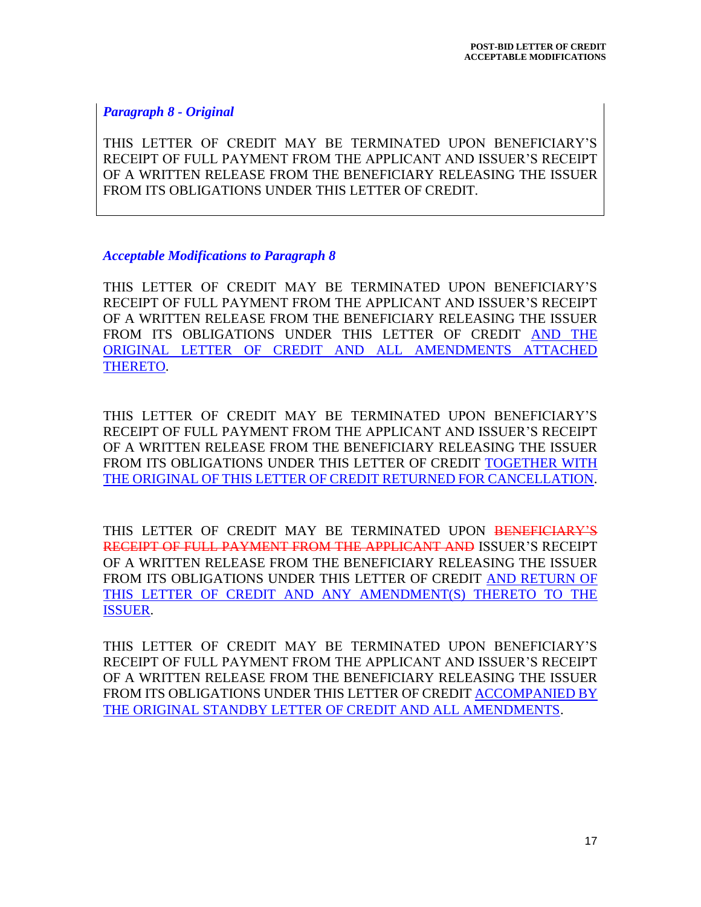*Paragraph 8 - Original*

THIS LETTER OF CREDIT MAY BE TERMINATED UPON BENEFICIARY'S RECEIPT OF FULL PAYMENT FROM THE APPLICANT AND ISSUER'S RECEIPT OF A WRITTEN RELEASE FROM THE BENEFICIARY RELEASING THE ISSUER FROM ITS OBLIGATIONS UNDER THIS LETTER OF CREDIT.

#### *Acceptable Modifications to Paragraph 8*

THIS LETTER OF CREDIT MAY BE TERMINATED UPON BENEFICIARY'S RECEIPT OF FULL PAYMENT FROM THE APPLICANT AND ISSUER'S RECEIPT OF A WRITTEN RELEASE FROM THE BENEFICIARY RELEASING THE ISSUER FROM ITS OBLIGATIONS UNDER THIS LETTER OF CREDIT AND THE ORIGINAL LETTER OF CREDIT AND ALL AMENDMENTS ATTACHED THERETO.

THIS LETTER OF CREDIT MAY BE TERMINATED UPON BENEFICIARY'S RECEIPT OF FULL PAYMENT FROM THE APPLICANT AND ISSUER'S RECEIPT OF A WRITTEN RELEASE FROM THE BENEFICIARY RELEASING THE ISSUER FROM ITS OBLIGATIONS UNDER THIS LETTER OF CREDIT TOGETHER WITH THE ORIGINAL OF THIS LETTER OF CREDIT RETURNED FOR CANCELLATION.

THIS LETTER OF CREDIT MAY BE TERMINATED UPON BENEFICIARY'S RECEIPT OF FULL PAYMENT FROM THE APPLICANT AND ISSUER'S RECEIPT OF A WRITTEN RELEASE FROM THE BENEFICIARY RELEASING THE ISSUER FROM ITS OBLIGATIONS UNDER THIS LETTER OF CREDIT AND RETURN OF THIS LETTER OF CREDIT AND ANY AMENDMENT(S) THERETO TO THE ISSUER.

THIS LETTER OF CREDIT MAY BE TERMINATED UPON BENEFICIARY'S RECEIPT OF FULL PAYMENT FROM THE APPLICANT AND ISSUER'S RECEIPT OF A WRITTEN RELEASE FROM THE BENEFICIARY RELEASING THE ISSUER FROM ITS OBLIGATIONS UNDER THIS LETTER OF CREDIT ACCOMPANIED BY THE ORIGINAL STANDBY LETTER OF CREDIT AND ALL AMENDMENTS.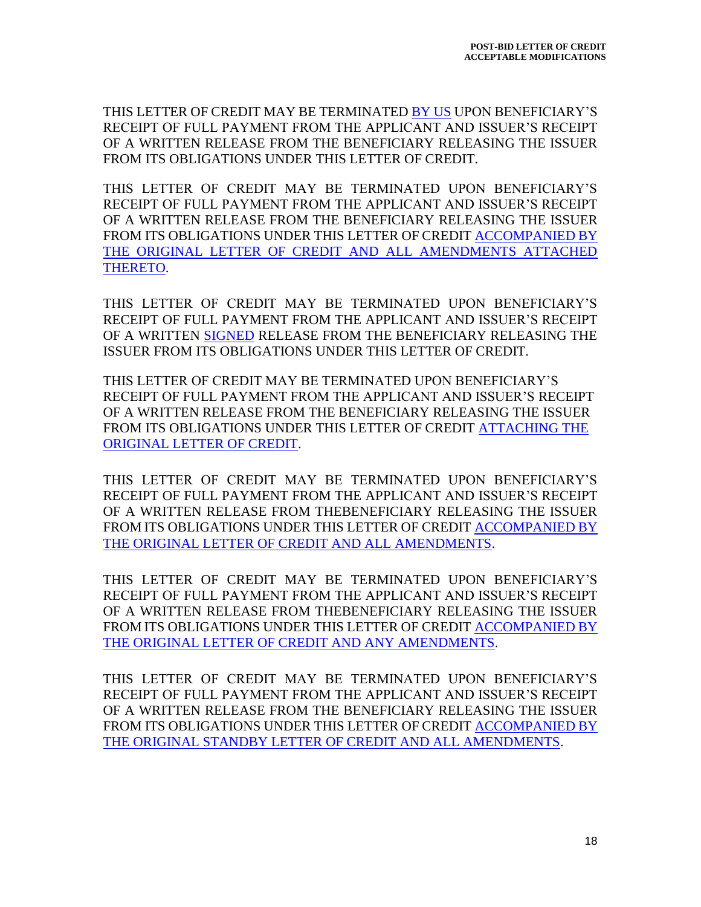THIS LETTER OF CREDIT MAY BE TERMINATED BY US UPON BENEFICIARY'S RECEIPT OF FULL PAYMENT FROM THE APPLICANT AND ISSUER'S RECEIPT OF A WRITTEN RELEASE FROM THE BENEFICIARY RELEASING THE ISSUER FROM ITS OBLIGATIONS UNDER THIS LETTER OF CREDIT.

THIS LETTER OF CREDIT MAY BE TERMINATED UPON BENEFICIARY'S RECEIPT OF FULL PAYMENT FROM THE APPLICANT AND ISSUER'S RECEIPT OF A WRITTEN RELEASE FROM THE BENEFICIARY RELEASING THE ISSUER FROM ITS OBLIGATIONS UNDER THIS LETTER OF CREDIT ACCOMPANIED BY THE ORIGINAL LETTER OF CREDIT AND ALL AMENDMENTS ATTACHED THERETO.

THIS LETTER OF CREDIT MAY BE TERMINATED UPON BENEFICIARY'S RECEIPT OF FULL PAYMENT FROM THE APPLICANT AND ISSUER'S RECEIPT OF A WRITTEN SIGNED RELEASE FROM THE BENEFICIARY RELEASING THE ISSUER FROM ITS OBLIGATIONS UNDER THIS LETTER OF CREDIT.

THIS LETTER OF CREDIT MAY BE TERMINATED UPON BENEFICIARY'S RECEIPT OF FULL PAYMENT FROM THE APPLICANT AND ISSUER'S RECEIPT OF A WRITTEN RELEASE FROM THE BENEFICIARY RELEASING THE ISSUER FROM ITS OBLIGATIONS UNDER THIS LETTER OF CREDIT ATTACHING THE ORIGINAL LETTER OF CREDIT.

THIS LETTER OF CREDIT MAY BE TERMINATED UPON BENEFICIARY'S RECEIPT OF FULL PAYMENT FROM THE APPLICANT AND ISSUER'S RECEIPT OF A WRITTEN RELEASE FROM THEBENEFICIARY RELEASING THE ISSUER FROM ITS OBLIGATIONS UNDER THIS LETTER OF CREDIT ACCOMPANIED BY THE ORIGINAL LETTER OF CREDIT AND ALL AMENDMENTS.

THIS LETTER OF CREDIT MAY BE TERMINATED UPON BENEFICIARY'S RECEIPT OF FULL PAYMENT FROM THE APPLICANT AND ISSUER'S RECEIPT OF A WRITTEN RELEASE FROM THEBENEFICIARY RELEASING THE ISSUER FROM ITS OBLIGATIONS UNDER THIS LETTER OF CREDIT ACCOMPANIED BY THE ORIGINAL LETTER OF CREDIT AND ANY AMENDMENTS.

THIS LETTER OF CREDIT MAY BE TERMINATED UPON BENEFICIARY'S RECEIPT OF FULL PAYMENT FROM THE APPLICANT AND ISSUER'S RECEIPT OF A WRITTEN RELEASE FROM THE BENEFICIARY RELEASING THE ISSUER FROM ITS OBLIGATIONS UNDER THIS LETTER OF CREDIT ACCOMPANIED BY THE ORIGINAL STANDBY LETTER OF CREDIT AND ALL AMENDMENTS.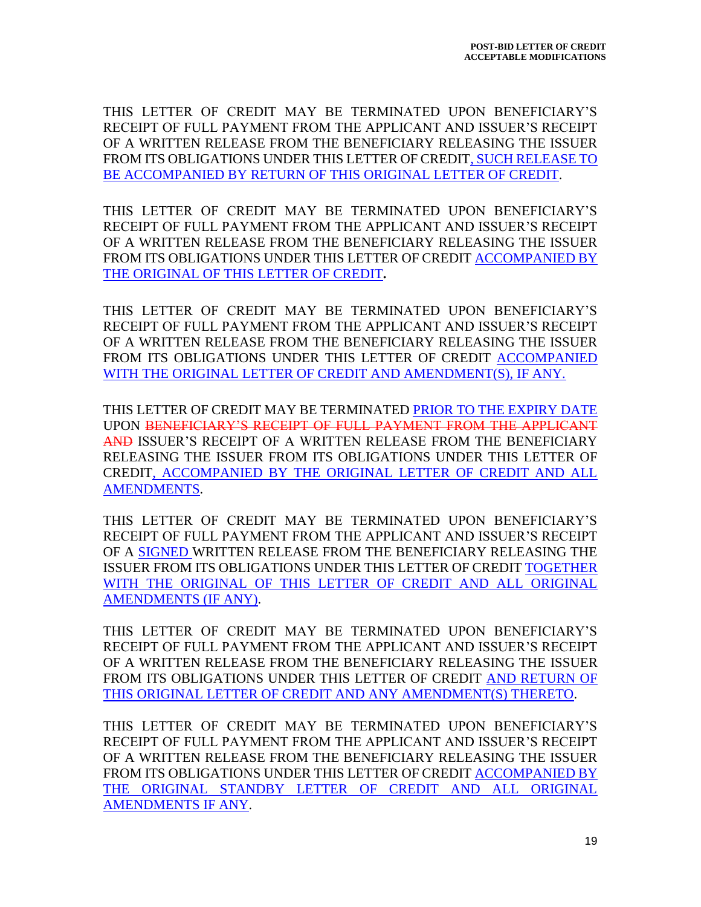THIS LETTER OF CREDIT MAY BE TERMINATED UPON BENEFICIARY'S RECEIPT OF FULL PAYMENT FROM THE APPLICANT AND ISSUER'S RECEIPT OF A WRITTEN RELEASE FROM THE BENEFICIARY RELEASING THE ISSUER FROM ITS OBLIGATIONS UNDER THIS LETTER OF CREDIT, SUCH RELEASE TO BE ACCOMPANIED BY RETURN OF THIS ORIGINAL LETTER OF CREDIT.

THIS LETTER OF CREDIT MAY BE TERMINATED UPON BENEFICIARY'S RECEIPT OF FULL PAYMENT FROM THE APPLICANT AND ISSUER'S RECEIPT OF A WRITTEN RELEASE FROM THE BENEFICIARY RELEASING THE ISSUER FROM ITS OBLIGATIONS UNDER THIS LETTER OF CREDIT ACCOMPANIED BY THE ORIGINAL OF THIS LETTER OF CREDIT**.**

THIS LETTER OF CREDIT MAY BE TERMINATED UPON BENEFICIARY'S RECEIPT OF FULL PAYMENT FROM THE APPLICANT AND ISSUER'S RECEIPT OF A WRITTEN RELEASE FROM THE BENEFICIARY RELEASING THE ISSUER FROM ITS OBLIGATIONS UNDER THIS LETTER OF CREDIT ACCOMPANIED WITH THE ORIGINAL LETTER OF CREDIT AND AMENDMENT(S), IF ANY.

THIS LETTER OF CREDIT MAY BE TERMINATED PRIOR TO THE EXPIRY DATE UPON BENEFICIARY'S RECEIPT OF FULL PAYMENT FROM THE APPLICANT AND ISSUER'S RECEIPT OF A WRITTEN RELEASE FROM THE BENEFICIARY RELEASING THE ISSUER FROM ITS OBLIGATIONS UNDER THIS LETTER OF CREDIT, ACCOMPANIED BY THE ORIGINAL LETTER OF CREDIT AND ALL AMENDMENTS.

THIS LETTER OF CREDIT MAY BE TERMINATED UPON BENEFICIARY'S RECEIPT OF FULL PAYMENT FROM THE APPLICANT AND ISSUER'S RECEIPT OF A SIGNED WRITTEN RELEASE FROM THE BENEFICIARY RELEASING THE ISSUER FROM ITS OBLIGATIONS UNDER THIS LETTER OF CREDIT TOGETHER WITH THE ORIGINAL OF THIS LETTER OF CREDIT AND ALL ORIGINAL AMENDMENTS (IF ANY).

THIS LETTER OF CREDIT MAY BE TERMINATED UPON BENEFICIARY'S RECEIPT OF FULL PAYMENT FROM THE APPLICANT AND ISSUER'S RECEIPT OF A WRITTEN RELEASE FROM THE BENEFICIARY RELEASING THE ISSUER FROM ITS OBLIGATIONS UNDER THIS LETTER OF CREDIT AND RETURN OF THIS ORIGINAL LETTER OF CREDIT AND ANY AMENDMENT(S) THERETO.

THIS LETTER OF CREDIT MAY BE TERMINATED UPON BENEFICIARY'S RECEIPT OF FULL PAYMENT FROM THE APPLICANT AND ISSUER'S RECEIPT OF A WRITTEN RELEASE FROM THE BENEFICIARY RELEASING THE ISSUER FROM ITS OBLIGATIONS UNDER THIS LETTER OF CREDIT ACCOMPANIED BY THE ORIGINAL STANDBY LETTER OF CREDIT AND ALL ORIGINAL AMENDMENTS IF ANY.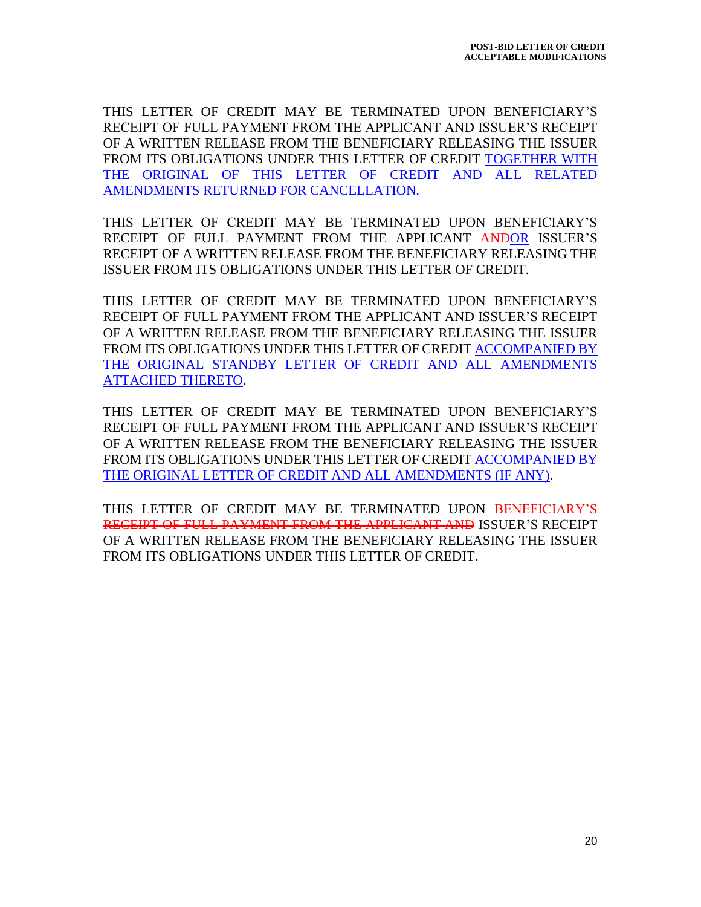THIS LETTER OF CREDIT MAY BE TERMINATED UPON BENEFICIARY'S RECEIPT OF FULL PAYMENT FROM THE APPLICANT AND ISSUER'S RECEIPT OF A WRITTEN RELEASE FROM THE BENEFICIARY RELEASING THE ISSUER FROM ITS OBLIGATIONS UNDER THIS LETTER OF CREDIT TOGETHER WITH THE ORIGINAL OF THIS LETTER OF CREDIT AND ALL RELATED AMENDMENTS RETURNED FOR CANCELLATION.

THIS LETTER OF CREDIT MAY BE TERMINATED UPON BENEFICIARY'S RECEIPT OF FULL PAYMENT FROM THE APPLICANT ANDOR ISSUER'S RECEIPT OF A WRITTEN RELEASE FROM THE BENEFICIARY RELEASING THE ISSUER FROM ITS OBLIGATIONS UNDER THIS LETTER OF CREDIT.

THIS LETTER OF CREDIT MAY BE TERMINATED UPON BENEFICIARY'S RECEIPT OF FULL PAYMENT FROM THE APPLICANT AND ISSUER'S RECEIPT OF A WRITTEN RELEASE FROM THE BENEFICIARY RELEASING THE ISSUER FROM ITS OBLIGATIONS UNDER THIS LETTER OF CREDIT ACCOMPANIED BY THE ORIGINAL STANDBY LETTER OF CREDIT AND ALL AMENDMENTS ATTACHED THERETO.

THIS LETTER OF CREDIT MAY BE TERMINATED UPON BENEFICIARY'S RECEIPT OF FULL PAYMENT FROM THE APPLICANT AND ISSUER'S RECEIPT OF A WRITTEN RELEASE FROM THE BENEFICIARY RELEASING THE ISSUER FROM ITS OBLIGATIONS UNDER THIS LETTER OF CREDIT ACCOMPANIED BY THE ORIGINAL LETTER OF CREDIT AND ALL AMENDMENTS (IF ANY).

THIS LETTER OF CREDIT MAY BE TERMINATED UPON BENEFICIARY'S RECEIPT OF FULL PAYMENT FROM THE APPLICANT AND ISSUER'S RECEIPT OF A WRITTEN RELEASE FROM THE BENEFICIARY RELEASING THE ISSUER FROM ITS OBLIGATIONS UNDER THIS LETTER OF CREDIT.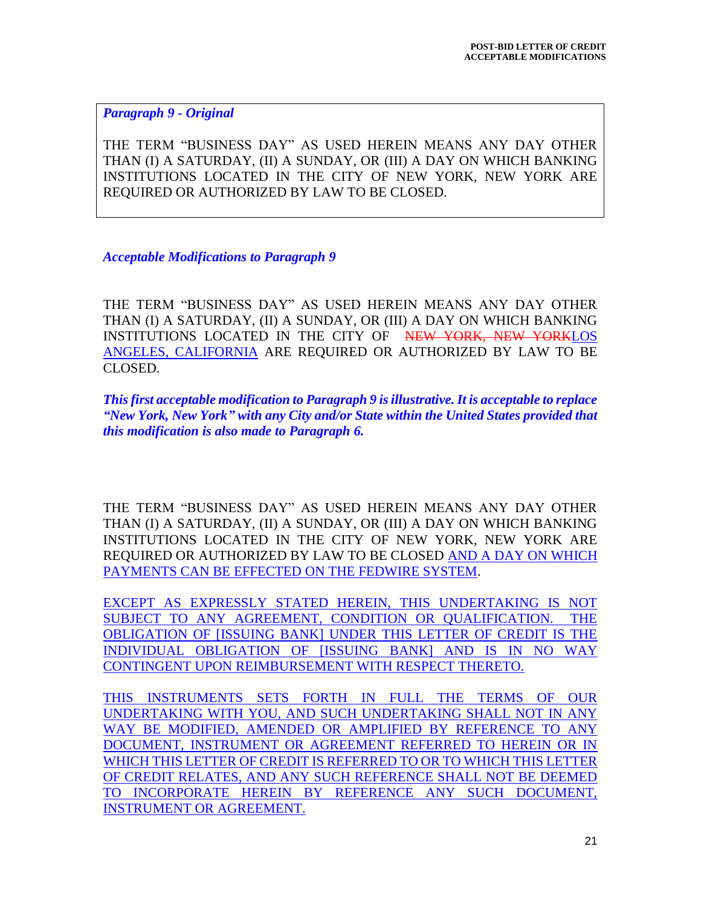*Paragraph 9 - Original*

THE TERM "BUSINESS DAY" AS USED HEREIN MEANS ANY DAY OTHER THAN (I) A SATURDAY, (II) A SUNDAY, OR (III) A DAY ON WHICH BANKING INSTITUTIONS LOCATED IN THE CITY OF NEW YORK, NEW YORK ARE REQUIRED OR AUTHORIZED BY LAW TO BE CLOSED.

*Acceptable Modifications to Paragraph 9*

THE TERM "BUSINESS DAY" AS USED HEREIN MEANS ANY DAY OTHER THAN (I) A SATURDAY, (II) A SUNDAY, OR (III) A DAY ON WHICH BANKING INSTITUTIONS LOCATED IN THE CITY OF NEW YORK, NEW YORKLOS ANGELES, CALIFORNIA ARE REQUIRED OR AUTHORIZED BY LAW TO BE CLOSED.

*This first acceptable modification to Paragraph 9 is illustrative. It is acceptable to replace "New York, New York" with any City and/or State within the United States provided that this modification is also made to Paragraph 6.*

THE TERM "BUSINESS DAY" AS USED HEREIN MEANS ANY DAY OTHER THAN (I) A SATURDAY, (II) A SUNDAY, OR (III) A DAY ON WHICH BANKING INSTITUTIONS LOCATED IN THE CITY OF NEW YORK, NEW YORK ARE REQUIRED OR AUTHORIZED BY LAW TO BE CLOSED AND A DAY ON WHICH PAYMENTS CAN BE EFFECTED ON THE FEDWIRE SYSTEM.

EXCEPT AS EXPRESSLY STATED HEREIN, THIS UNDERTAKING IS NOT SUBJECT TO ANY AGREEMENT, CONDITION OR QUALIFICATION. THE OBLIGATION OF [ISSUING BANK] UNDER THIS LETTER OF CREDIT IS THE INDIVIDUAL OBLIGATION OF [ISSUING BANK] AND IS IN NO WAY CONTINGENT UPON REIMBURSEMENT WITH RESPECT THERETO.

THIS INSTRUMENTS SETS FORTH IN FULL THE TERMS OF OUR UNDERTAKING WITH YOU, AND SUCH UNDERTAKING SHALL NOT IN ANY WAY BE MODIFIED, AMENDED OR AMPLIFIED BY REFERENCE TO ANY DOCUMENT, INSTRUMENT OR AGREEMENT REFERRED TO HEREIN OR IN WHICH THIS LETTER OF CREDIT IS REFERRED TO OR TO WHICH THIS LETTER OF CREDIT RELATES, AND ANY SUCH REFERENCE SHALL NOT BE DEEMED TO INCORPORATE HEREIN BY REFERENCE ANY SUCH DOCUMENT, INSTRUMENT OR AGREEMENT.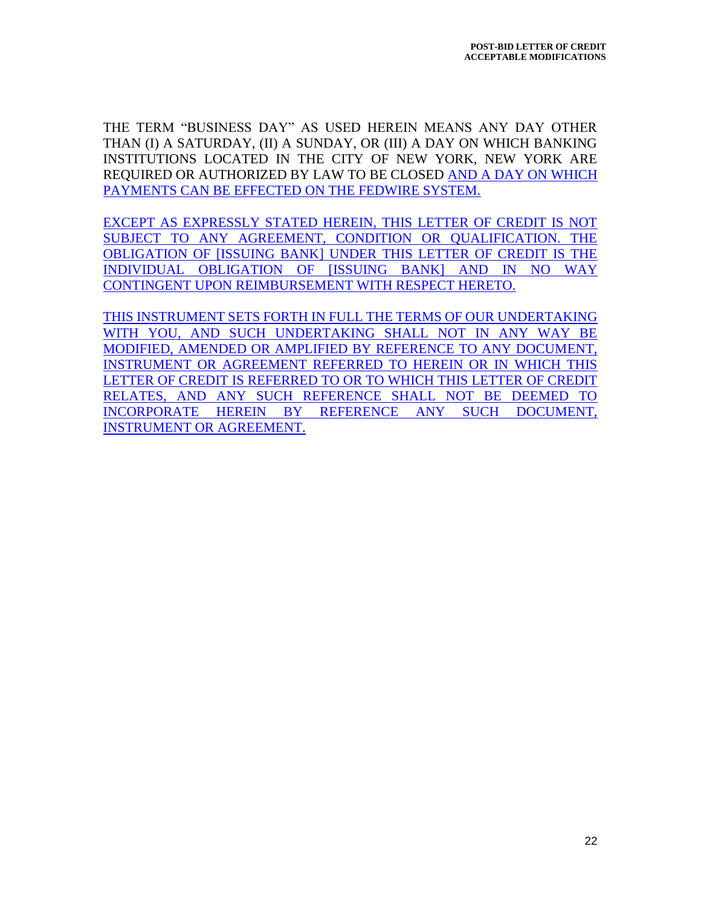THE TERM "BUSINESS DAY" AS USED HEREIN MEANS ANY DAY OTHER THAN (I) A SATURDAY, (II) A SUNDAY, OR (III) A DAY ON WHICH BANKING INSTITUTIONS LOCATED IN THE CITY OF NEW YORK, NEW YORK ARE REQUIRED OR AUTHORIZED BY LAW TO BE CLOSED AND A DAY ON WHICH PAYMENTS CAN BE EFFECTED ON THE FEDWIRE SYSTEM.

EXCEPT AS EXPRESSLY STATED HEREIN, THIS LETTER OF CREDIT IS NOT SUBJECT TO ANY AGREEMENT, CONDITION OR QUALIFICATION. THE OBLIGATION OF [ISSUING BANK] UNDER THIS LETTER OF CREDIT IS THE INDIVIDUAL OBLIGATION OF [ISSUING BANK] AND IN NO WAY CONTINGENT UPON REIMBURSEMENT WITH RESPECT HERETO.

THIS INSTRUMENT SETS FORTH IN FULL THE TERMS OF OUR UNDERTAKING WITH YOU, AND SUCH UNDERTAKING SHALL NOT IN ANY WAY BE MODIFIED, AMENDED OR AMPLIFIED BY REFERENCE TO ANY DOCUMENT, INSTRUMENT OR AGREEMENT REFERRED TO HEREIN OR IN WHICH THIS LETTER OF CREDIT IS REFERRED TO OR TO WHICH THIS LETTER OF CREDIT RELATES, AND ANY SUCH REFERENCE SHALL NOT BE DEEMED TO INCORPORATE HEREIN BY REFERENCE ANY SUCH DOCUMENT, INSTRUMENT OR AGREEMENT.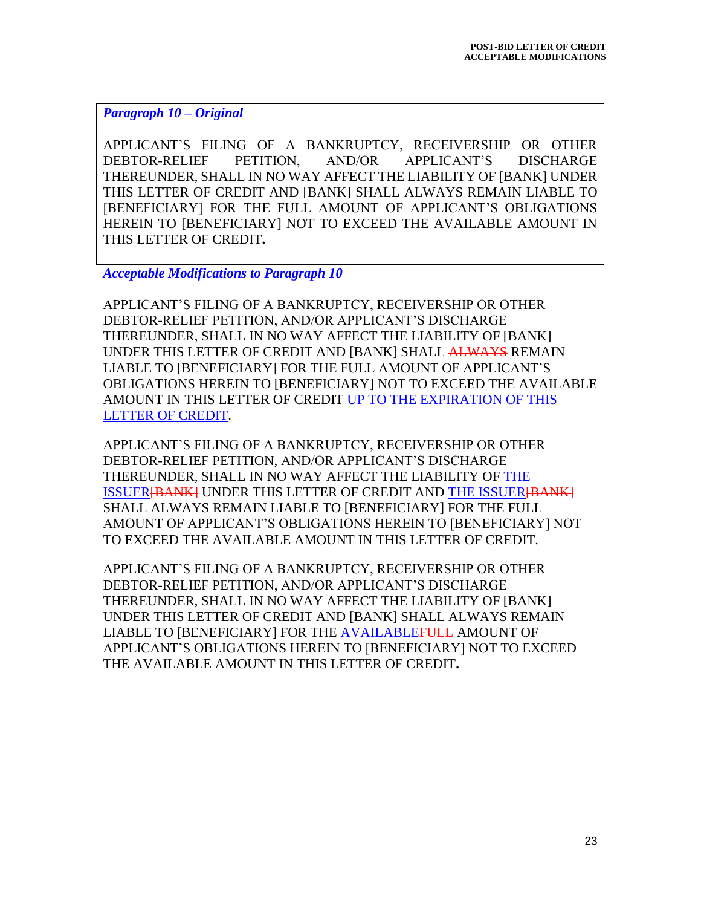## *Paragraph 10 – Original*

APPLICANT'S FILING OF A BANKRUPTCY, RECEIVERSHIP OR OTHER DEBTOR-RELIEF PETITION, AND/OR APPLICANT'S DISCHARGE THEREUNDER, SHALL IN NO WAY AFFECT THE LIABILITY OF [BANK] UNDER THIS LETTER OF CREDIT AND [BANK] SHALL ALWAYS REMAIN LIABLE TO [BENEFICIARY] FOR THE FULL AMOUNT OF APPLICANT'S OBLIGATIONS HEREIN TO [BENEFICIARY] NOT TO EXCEED THE AVAILABLE AMOUNT IN THIS LETTER OF CREDIT**.**

*Acceptable Modifications to Paragraph 10*

APPLICANT'S FILING OF A BANKRUPTCY, RECEIVERSHIP OR OTHER DEBTOR-RELIEF PETITION, AND/OR APPLICANT'S DISCHARGE THEREUNDER, SHALL IN NO WAY AFFECT THE LIABILITY OF [BANK] UNDER THIS LETTER OF CREDIT AND [BANK] SHALL ALWAYS REMAIN LIABLE TO [BENEFICIARY] FOR THE FULL AMOUNT OF APPLICANT'S OBLIGATIONS HEREIN TO [BENEFICIARY] NOT TO EXCEED THE AVAILABLE AMOUNT IN THIS LETTER OF CREDIT UP TO THE EXPIRATION OF THIS LETTER OF CREDIT.

APPLICANT'S FILING OF A BANKRUPTCY, RECEIVERSHIP OR OTHER DEBTOR-RELIEF PETITION, AND/OR APPLICANT'S DISCHARGE THEREUNDER, SHALL IN NO WAY AFFECT THE LIABILITY OF THE ISSUER<del>[BANK]</del> UNDER THIS LETTER OF CREDIT AND THE ISSUER<del>[BANK]</del> SHALL ALWAYS REMAIN LIABLE TO [BENEFICIARY] FOR THE FULL AMOUNT OF APPLICANT'S OBLIGATIONS HEREIN TO [BENEFICIARY] NOT TO EXCEED THE AVAILABLE AMOUNT IN THIS LETTER OF CREDIT.

APPLICANT'S FILING OF A BANKRUPTCY, RECEIVERSHIP OR OTHER DEBTOR-RELIEF PETITION, AND/OR APPLICANT'S DISCHARGE THEREUNDER, SHALL IN NO WAY AFFECT THE LIABILITY OF [BANK] UNDER THIS LETTER OF CREDIT AND [BANK] SHALL ALWAYS REMAIN LIABLE TO [BENEFICIARY] FOR THE AVAILABLE<del>FULL</del> AMOUNT OF APPLICANT'S OBLIGATIONS HEREIN TO [BENEFICIARY] NOT TO EXCEED THE AVAILABLE AMOUNT IN THIS LETTER OF CREDIT**.**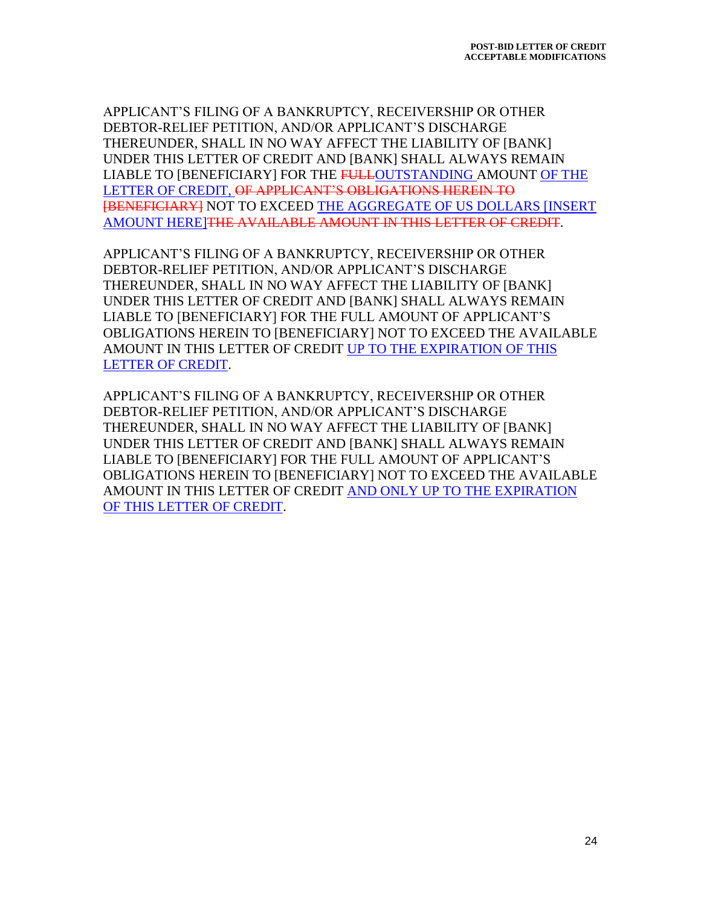APPLICANT'S FILING OF A BANKRUPTCY, RECEIVERSHIP OR OTHER DEBTOR-RELIEF PETITION, AND/OR APPLICANT'S DISCHARGE THEREUNDER, SHALL IN NO WAY AFFECT THE LIABILITY OF [BANK] UNDER THIS LETTER OF CREDIT AND [BANK] SHALL ALWAYS REMAIN LIABLE TO [BENEFICIARY] FOR THE FULLOUTSTANDING AMOUNT OF THE LETTER OF CREDIT, OF APPLICANT'S OBLIGATIONS HEREIN TO [BENEFICIARY] NOT TO EXCEED THE AGGREGATE OF US DOLLARS [INSERT AMOUNT HERE]THE AVAILABLE AMOUNT IN THIS LETTER OF CREDIT.

APPLICANT'S FILING OF A BANKRUPTCY, RECEIVERSHIP OR OTHER DEBTOR-RELIEF PETITION, AND/OR APPLICANT'S DISCHARGE THEREUNDER, SHALL IN NO WAY AFFECT THE LIABILITY OF [BANK] UNDER THIS LETTER OF CREDIT AND [BANK] SHALL ALWAYS REMAIN LIABLE TO [BENEFICIARY] FOR THE FULL AMOUNT OF APPLICANT'S OBLIGATIONS HEREIN TO [BENEFICIARY] NOT TO EXCEED THE AVAILABLE AMOUNT IN THIS LETTER OF CREDIT UP TO THE EXPIRATION OF THIS LETTER OF CREDIT.

APPLICANT'S FILING OF A BANKRUPTCY, RECEIVERSHIP OR OTHER DEBTOR-RELIEF PETITION, AND/OR APPLICANT'S DISCHARGE THEREUNDER, SHALL IN NO WAY AFFECT THE LIABILITY OF [BANK] UNDER THIS LETTER OF CREDIT AND [BANK] SHALL ALWAYS REMAIN LIABLE TO [BENEFICIARY] FOR THE FULL AMOUNT OF APPLICANT'S OBLIGATIONS HEREIN TO [BENEFICIARY] NOT TO EXCEED THE AVAILABLE AMOUNT IN THIS LETTER OF CREDIT AND ONLY UP TO THE EXPIRATION OF THIS LETTER OF CREDIT.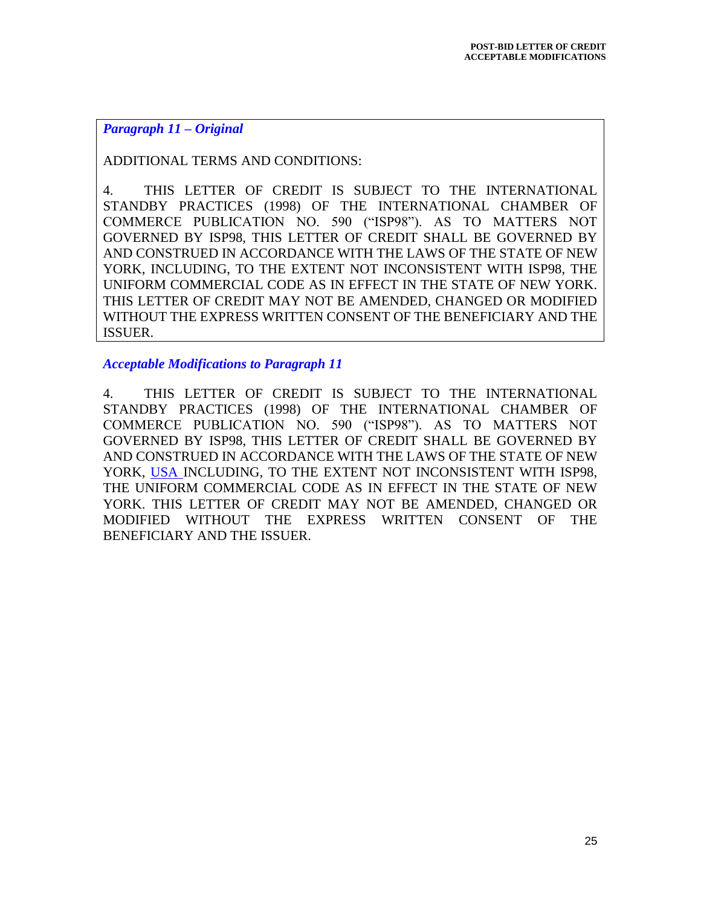## *Paragraph 11 – Original*

ADDITIONAL TERMS AND CONDITIONS:

4. THIS LETTER OF CREDIT IS SUBJECT TO THE INTERNATIONAL STANDBY PRACTICES (1998) OF THE INTERNATIONAL CHAMBER OF COMMERCE PUBLICATION NO. 590 ("ISP98"). AS TO MATTERS NOT GOVERNED BY ISP98, THIS LETTER OF CREDIT SHALL BE GOVERNED BY AND CONSTRUED IN ACCORDANCE WITH THE LAWS OF THE STATE OF NEW YORK, INCLUDING, TO THE EXTENT NOT INCONSISTENT WITH ISP98, THE UNIFORM COMMERCIAL CODE AS IN EFFECT IN THE STATE OF NEW YORK. THIS LETTER OF CREDIT MAY NOT BE AMENDED, CHANGED OR MODIFIED WITHOUT THE EXPRESS WRITTEN CONSENT OF THE BENEFICIARY AND THE ISSUER.

*Acceptable Modifications to Paragraph 11*

4. THIS LETTER OF CREDIT IS SUBJECT TO THE INTERNATIONAL STANDBY PRACTICES (1998) OF THE INTERNATIONAL CHAMBER OF COMMERCE PUBLICATION NO. 590 ("ISP98"). AS TO MATTERS NOT GOVERNED BY ISP98, THIS LETTER OF CREDIT SHALL BE GOVERNED BY AND CONSTRUED IN ACCORDANCE WITH THE LAWS OF THE STATE OF NEW YORK, USA INCLUDING, TO THE EXTENT NOT INCONSISTENT WITH ISP98, THE UNIFORM COMMERCIAL CODE AS IN EFFECT IN THE STATE OF NEW YORK. THIS LETTER OF CREDIT MAY NOT BE AMENDED, CHANGED OR MODIFIED WITHOUT THE EXPRESS WRITTEN CONSENT OF THE BENEFICIARY AND THE ISSUER.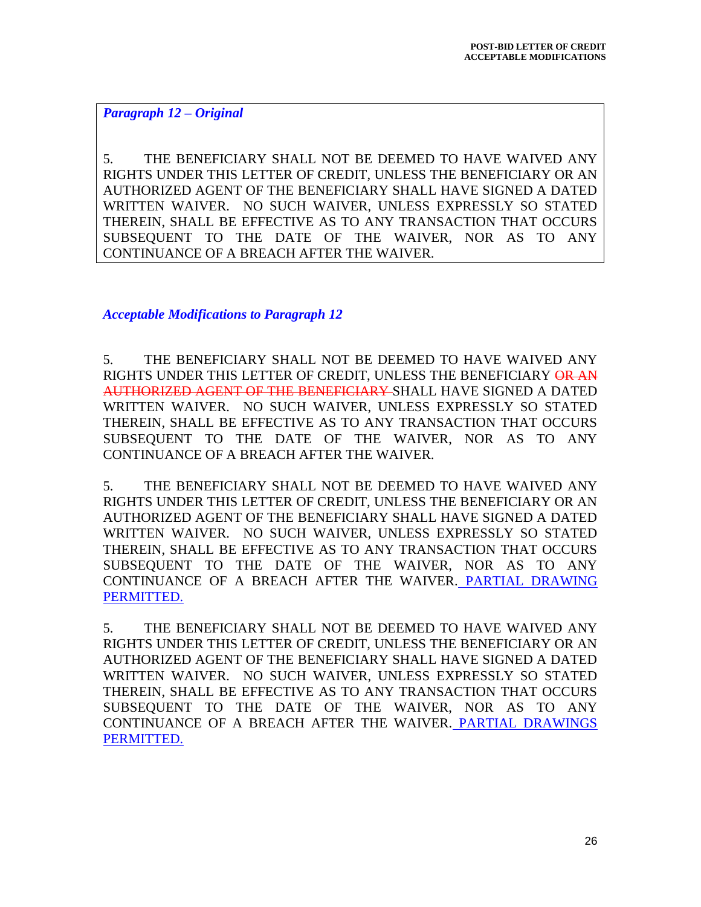*Paragraph 12 – Original*

5. THE BENEFICIARY SHALL NOT BE DEEMED TO HAVE WAIVED ANY RIGHTS UNDER THIS LETTER OF CREDIT, UNLESS THE BENEFICIARY OR AN AUTHORIZED AGENT OF THE BENEFICIARY SHALL HAVE SIGNED A DATED WRITTEN WAIVER. NO SUCH WAIVER, UNLESS EXPRESSLY SO STATED THEREIN, SHALL BE EFFECTIVE AS TO ANY TRANSACTION THAT OCCURS SUBSEQUENT TO THE DATE OF THE WAIVER, NOR AS TO ANY CONTINUANCE OF A BREACH AFTER THE WAIVER.

*Acceptable Modifications to Paragraph 12*

5. THE BENEFICIARY SHALL NOT BE DEEMED TO HAVE WAIVED ANY RIGHTS UNDER THIS LETTER OF CREDIT, UNLESS THE BENEFICIARY OR AN AUTHORIZED AGENT OF THE BENEFICIARY SHALL HAVE SIGNED A DATED WRITTEN WAIVER. NO SUCH WAIVER, UNLESS EXPRESSLY SO STATED THEREIN, SHALL BE EFFECTIVE AS TO ANY TRANSACTION THAT OCCURS SUBSEQUENT TO THE DATE OF THE WAIVER, NOR AS TO ANY CONTINUANCE OF A BREACH AFTER THE WAIVER.

5. THE BENEFICIARY SHALL NOT BE DEEMED TO HAVE WAIVED ANY RIGHTS UNDER THIS LETTER OF CREDIT, UNLESS THE BENEFICIARY OR AN AUTHORIZED AGENT OF THE BENEFICIARY SHALL HAVE SIGNED A DATED WRITTEN WAIVER. NO SUCH WAIVER, UNLESS EXPRESSLY SO STATED THEREIN, SHALL BE EFFECTIVE AS TO ANY TRANSACTION THAT OCCURS SUBSEQUENT TO THE DATE OF THE WAIVER, NOR AS TO ANY CONTINUANCE OF A BREACH AFTER THE WAIVER. PARTIAL DRAWING PERMITTED.

5. THE BENEFICIARY SHALL NOT BE DEEMED TO HAVE WAIVED ANY RIGHTS UNDER THIS LETTER OF CREDIT, UNLESS THE BENEFICIARY OR AN AUTHORIZED AGENT OF THE BENEFICIARY SHALL HAVE SIGNED A DATED WRITTEN WAIVER. NO SUCH WAIVER, UNLESS EXPRESSLY SO STATED THEREIN, SHALL BE EFFECTIVE AS TO ANY TRANSACTION THAT OCCURS SUBSEQUENT TO THE DATE OF THE WAIVER, NOR AS TO ANY CONTINUANCE OF A BREACH AFTER THE WAIVER. PARTIAL DRAWINGS PERMITTED.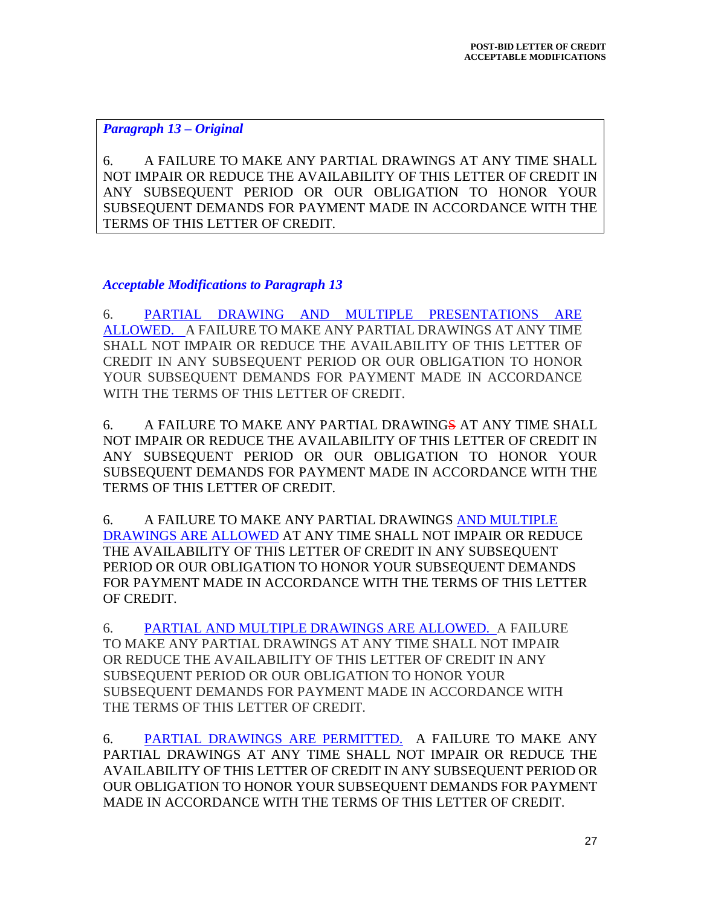## *Paragraph 13 – Original*

6. A FAILURE TO MAKE ANY PARTIAL DRAWINGS AT ANY TIME SHALL NOT IMPAIR OR REDUCE THE AVAILABILITY OF THIS LETTER OF CREDIT IN ANY SUBSEQUENT PERIOD OR OUR OBLIGATION TO HONOR YOUR SUBSEQUENT DEMANDS FOR PAYMENT MADE IN ACCORDANCE WITH THE TERMS OF THIS LETTER OF CREDIT.

## *Acceptable Modifications to Paragraph 13*

6. PARTIAL DRAWING AND MULTIPLE PRESENTATIONS ARE ALLOWED. A FAILURE TO MAKE ANY PARTIAL DRAWINGS AT ANY TIME SHALL NOT IMPAIR OR REDUCE THE AVAILABILITY OF THIS LETTER OF CREDIT IN ANY SUBSEQUENT PERIOD OR OUR OBLIGATION TO HONOR YOUR SUBSEQUENT DEMANDS FOR PAYMENT MADE IN ACCORDANCE WITH THE TERMS OF THIS LETTER OF CREDIT.

6. A FAILURE TO MAKE ANY PARTIAL DRAWINGS AT ANY TIME SHALL NOT IMPAIR OR REDUCE THE AVAILABILITY OF THIS LETTER OF CREDIT IN ANY SUBSEQUENT PERIOD OR OUR OBLIGATION TO HONOR YOUR SUBSEQUENT DEMANDS FOR PAYMENT MADE IN ACCORDANCE WITH THE TERMS OF THIS LETTER OF CREDIT.

6. A FAILURE TO MAKE ANY PARTIAL DRAWINGS AND MULTIPLE DRAWINGS ARE ALLOWED AT ANY TIME SHALL NOT IMPAIR OR REDUCE THE AVAILABILITY OF THIS LETTER OF CREDIT IN ANY SUBSEQUENT PERIOD OR OUR OBLIGATION TO HONOR YOUR SUBSEQUENT DEMANDS FOR PAYMENT MADE IN ACCORDANCE WITH THE TERMS OF THIS LETTER OF CREDIT.

6. PARTIAL AND MULTIPLE DRAWINGS ARE ALLOWED. A FAILURE TO MAKE ANY PARTIAL DRAWINGS AT ANY TIME SHALL NOT IMPAIR OR REDUCE THE AVAILABILITY OF THIS LETTER OF CREDIT IN ANY SUBSEQUENT PERIOD OR OUR OBLIGATION TO HONOR YOUR SUBSEQUENT DEMANDS FOR PAYMENT MADE IN ACCORDANCE WITH THE TERMS OF THIS LETTER OF CREDIT.

6. PARTIAL DRAWINGS ARE PERMITTED. A FAILURE TO MAKE ANY PARTIAL DRAWINGS AT ANY TIME SHALL NOT IMPAIR OR REDUCE THE AVAILABILITY OF THIS LETTER OF CREDIT IN ANY SUBSEQUENT PERIOD OR OUR OBLIGATION TO HONOR YOUR SUBSEQUENT DEMANDS FOR PAYMENT MADE IN ACCORDANCE WITH THE TERMS OF THIS LETTER OF CREDIT.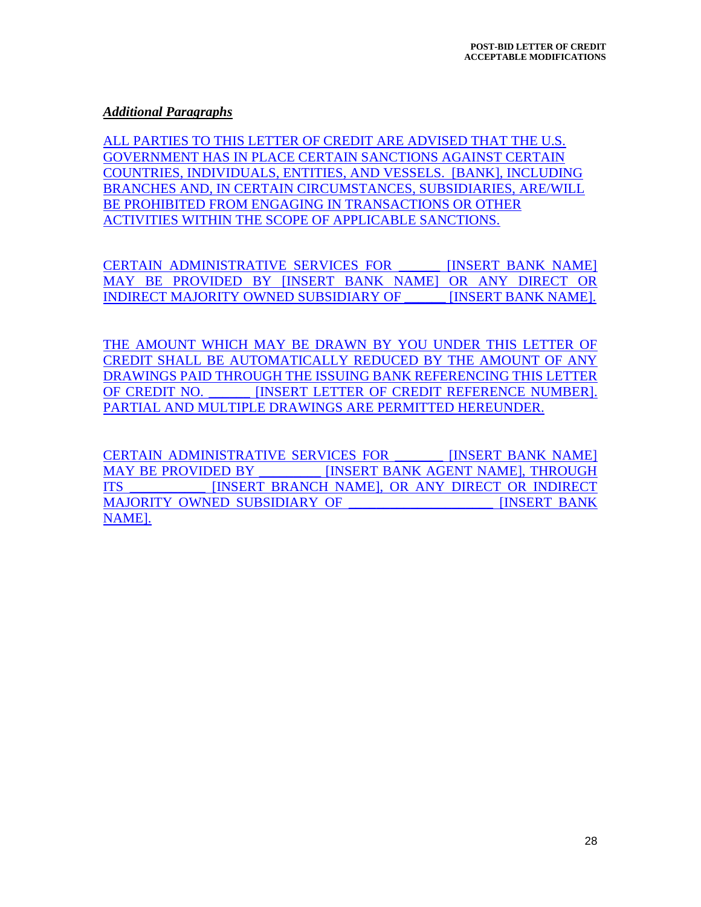## *Additional Paragraphs*

ALL PARTIES TO THIS LETTER OF CREDIT ARE ADVISED THAT THE U.S. GOVERNMENT HAS IN PLACE CERTAIN SANCTIONS AGAINST CERTAIN COUNTRIES, INDIVIDUALS, ENTITIES, AND VESSELS. [BANK], INCLUDING BRANCHES AND, IN CERTAIN CIRCUMSTANCES, SUBSIDIARIES, ARE/WILL BE PROHIBITED FROM ENGAGING IN TRANSACTIONS OR OTHER ACTIVITIES WITHIN THE SCOPE OF APPLICABLE SANCTIONS.

CERTAIN ADMINISTRATIVE SERVICES FOR **INSERT BANK NAME**] MAY BE PROVIDED BY [INSERT BANK NAME] OR ANY DIRECT OR INDIRECT MAJORITY OWNED SUBSIDIARY OF **INSERT BANK NAME**].

THE AMOUNT WHICH MAY BE DRAWN BY YOU UNDER THIS LETTER OF CREDIT SHALL BE AUTOMATICALLY REDUCED BY THE AMOUNT OF ANY DRAWINGS PAID THROUGH THE ISSUING BANK REFERENCING THIS LETTER OF CREDIT NO. **INSERT LETTER OF CREDIT REFERENCE NUMBER**]. PARTIAL AND MULTIPLE DRAWINGS ARE PERMITTED HEREUNDER.

CERTAIN ADMINISTRATIVE SERVICES FOR **IINSERT BANK NAME** MAY BE PROVIDED BY **INSERT BANK AGENT NAME**, THROUGH ITS \_\_\_\_\_\_\_\_\_\_\_ [INSERT BRANCH NAME], OR ANY DIRECT OR INDIRECT MAJORITY OWNED SUBSIDIARY OF THE RESERT BANK NAME].